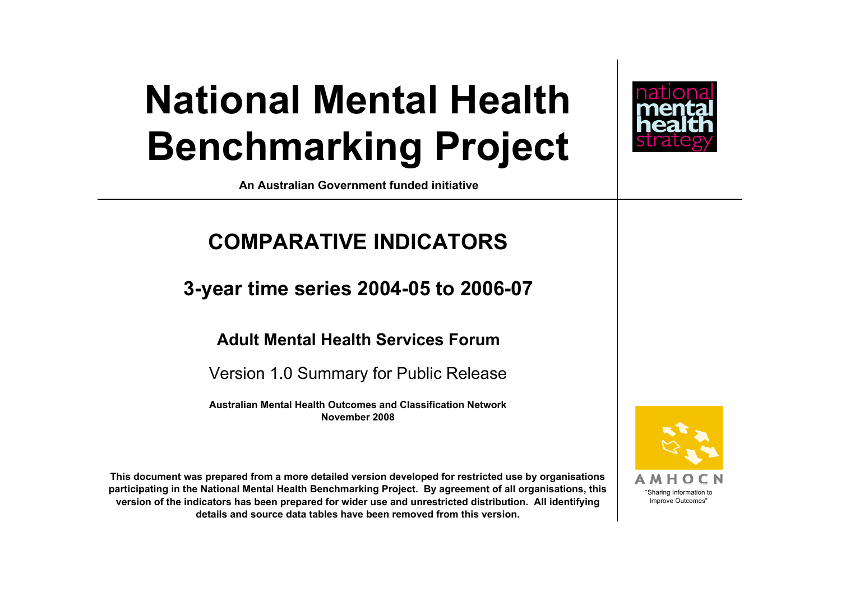### **National Mental Health Benchmarking Project**



**An Australian Government funded initiative**

### **COMPARATIVE INDICATORS**

**3-year time series 2004-05 to 2006-07**

#### **Adult Mental Health Services Forum**

Version 1.0 Summary for Public Release

**Australian Mental Health Outcomes and Classification NetworkNovember 2008**

**This document was prepared from a more detailed version developed for restricted use by organisations participating in the National Mental Health Benchmarking Project. By agreement of all organisations, this version of the indicators has been prepared for wider use and unrestricted distribution. All identifying details and source data tables have been removed from this version.**



"Sharing Information to Improve Outcomes"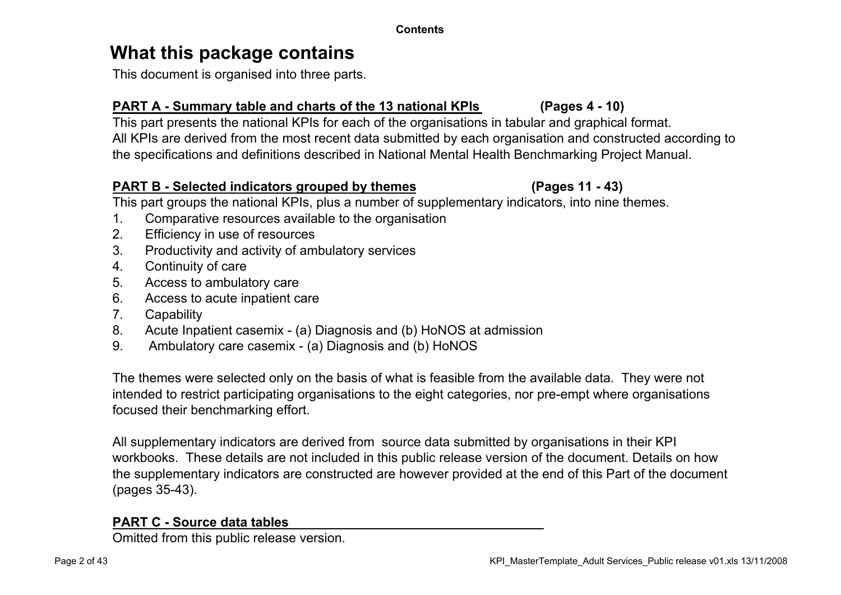#### **What this package contains**

This document is organised into three parts.

#### **PART A - Summary table and charts of the 13 national KPIs (Pages 4 - 10)**

This part presents the national KPIs for each of the organisations in tabular and graphical format. All KPIs are derived from the most recent data submitted by each organisation and constructed according to the specifications and definitions described in National Mental Health Benchmarking Project Manual.

#### **PART B - Selected indicators grouped by themes (Pages 11 - 43)**

This part groups the national KPIs, plus a number of supplementary indicators, into nine themes.

- 1. Comparative resources available to the organisation
- 2. Efficiency in use of resources
- 3. Productivity and activity of ambulatory services
- 4. Continuity of care
- 5. Access to ambulatory care
- 6. Access to acute inpatient care
- 7. Capability
- 8. Acute Inpatient casemix (a) Diagnosis and (b) HoNOS at admission
- 9. Ambulatory care casemix (a) Diagnosis and (b) HoNOS

The themes were selected only on the basis of what is feasible from the available data. They were not intended to restrict participating organisations to the eight categories, nor pre-empt where organisations focused their benchmarking effort.

All supplementary indicators are derived from source data submitted by organisations in their KPI workbooks. These details are not included in this public release version of the document. Details on how the supplementary indicators are constructed are however provided at the end of this Part of the document (pages 35-43).

#### **PART C - Source data tables**

Omitted from this public release version.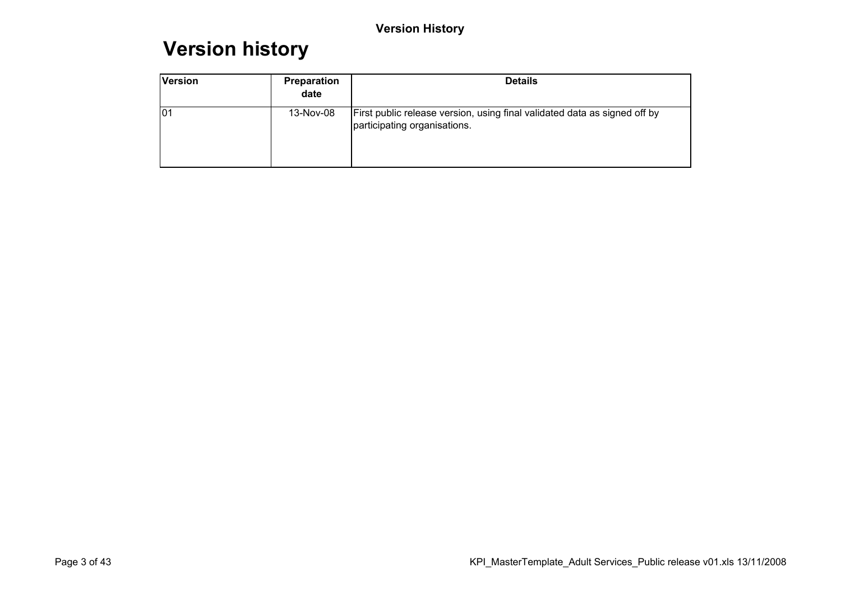#### **Version history**

| <b>Version</b>  | Preparation<br>date | <b>Details</b>                                                                                            |
|-----------------|---------------------|-----------------------------------------------------------------------------------------------------------|
| lo <sub>1</sub> | 13-Nov-08           | First public release version, using final validated data as signed off by<br>participating organisations. |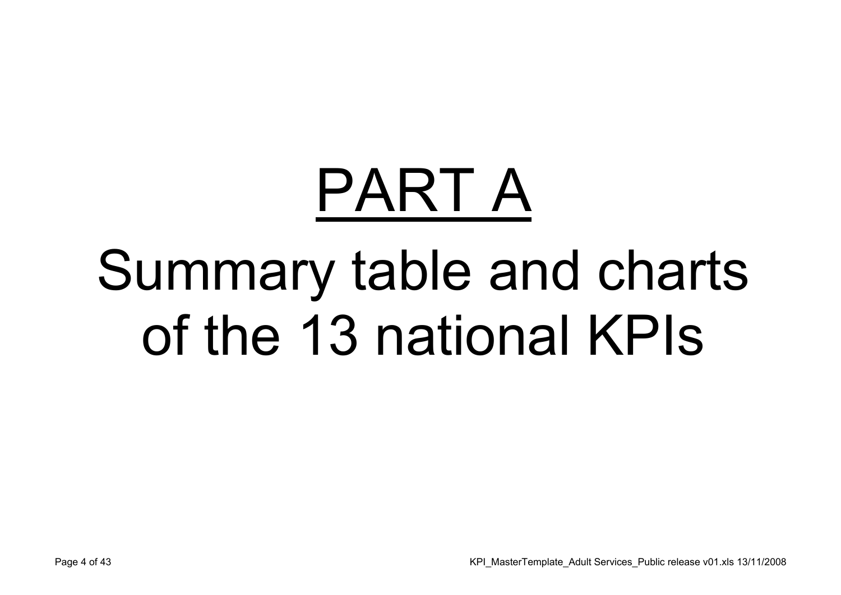# PART ASummary table and charts of the 13 national KPIs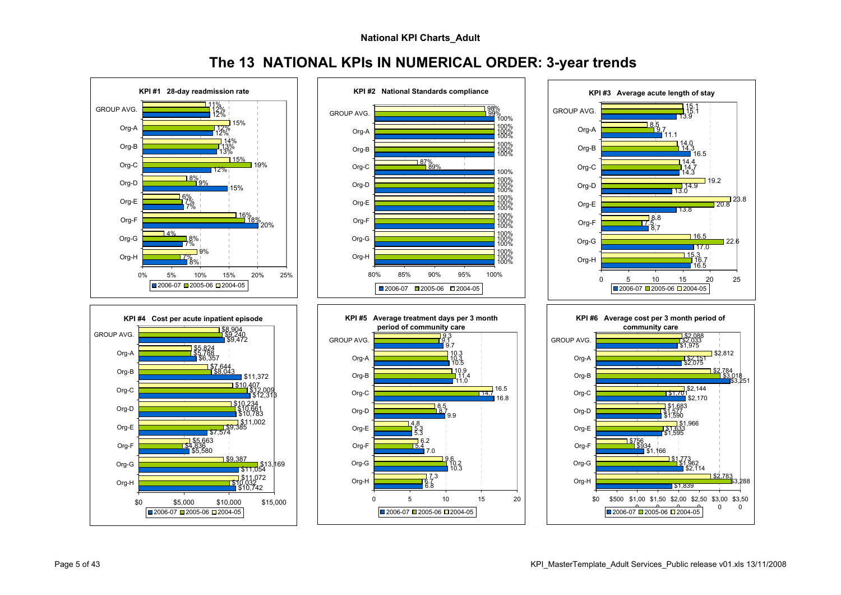**The 13 NATIONAL KPIs IN NUMERICAL ORDER: 3-year trends**

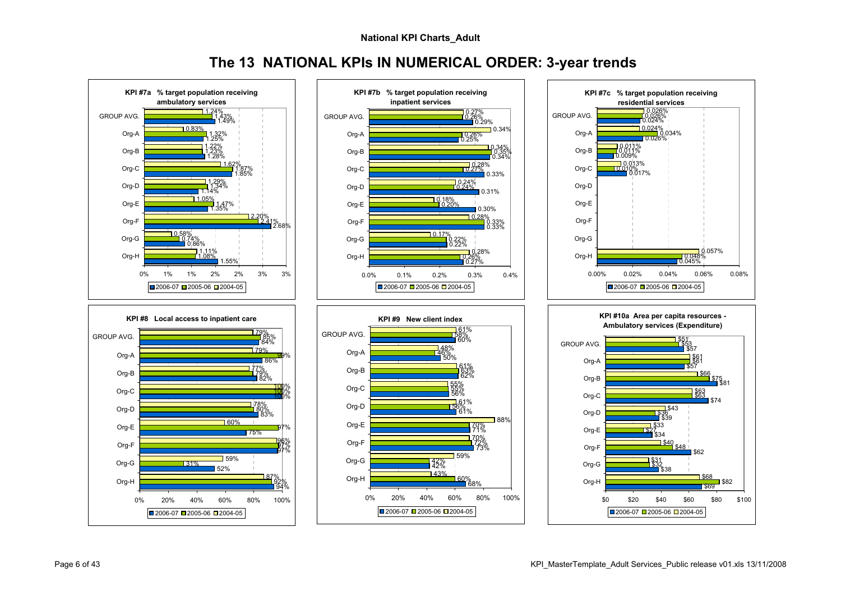**The 13 NATIONAL KPIs IN NUMERICAL ORDER: 3-year trends**

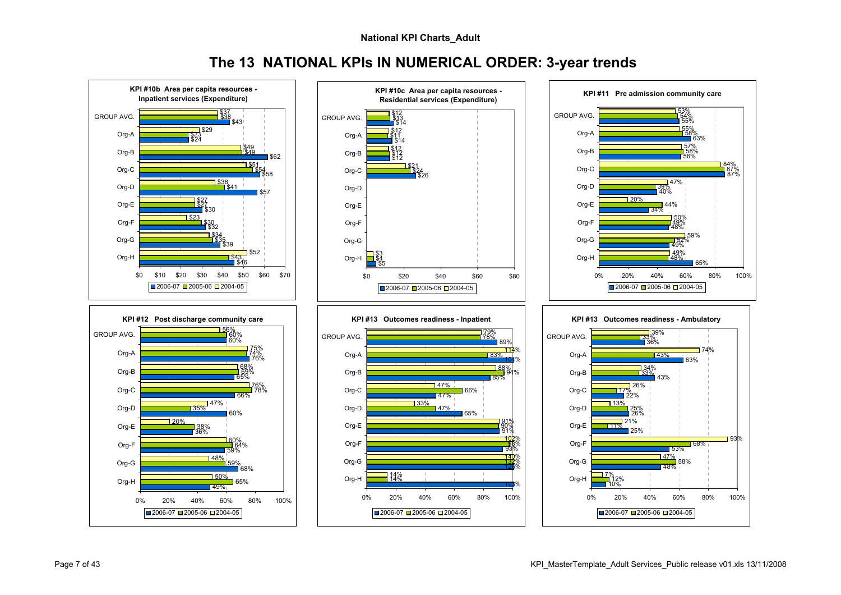**The 13 NATIONAL KPIs IN NUMERICAL ORDER: 3-year trends**

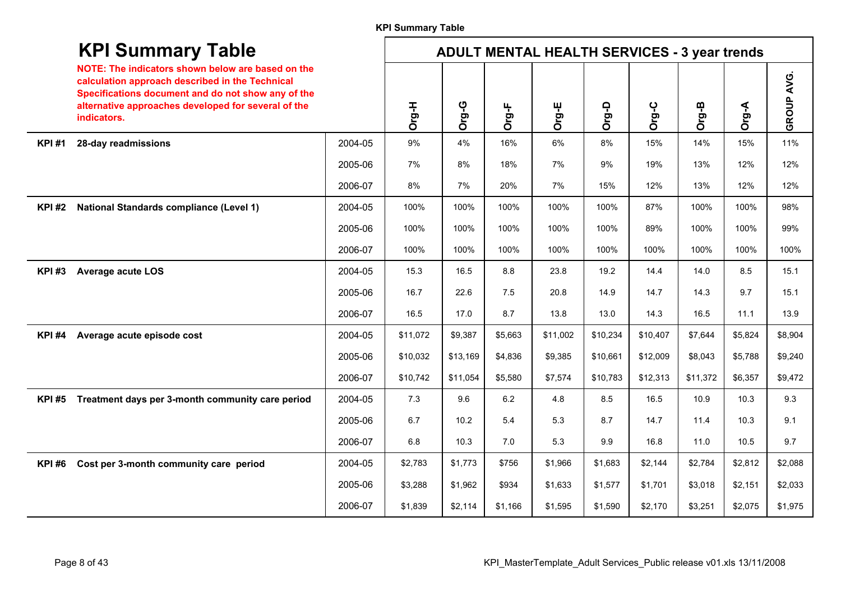|              | <b>KPI Summary Table</b>                                                                                                                                                                                                         |         |          | <b>ADULT MENTAL HEALTH SERVICES - 3 year trends</b> |         |          |          |          |          |         |            |
|--------------|----------------------------------------------------------------------------------------------------------------------------------------------------------------------------------------------------------------------------------|---------|----------|-----------------------------------------------------|---------|----------|----------|----------|----------|---------|------------|
|              | NOTE: The indicators shown below are based on the<br>calculation approach described in the Technical<br>Specifications document and do not show any of the<br>alternative approaches developed for several of the<br>indicators. |         | Org-H    | Org-G                                               | Org-F   | Org-E    | Org-D    | Org-C    | Org-B    | Org-A   | GROUP AVG. |
| <b>KPI#1</b> | 28-day readmissions                                                                                                                                                                                                              | 2004-05 | 9%       | 4%                                                  | 16%     | 6%       | 8%       | 15%      | 14%      | 15%     | 11%        |
|              |                                                                                                                                                                                                                                  | 2005-06 | 7%       | 8%                                                  | 18%     | 7%       | 9%       | 19%      | 13%      | 12%     | 12%        |
|              |                                                                                                                                                                                                                                  | 2006-07 | 8%       | 7%                                                  | 20%     | 7%       | 15%      | 12%      | 13%      | 12%     | 12%        |
| <b>KPI#2</b> | <b>National Standards compliance (Level 1)</b>                                                                                                                                                                                   | 2004-05 | 100%     | 100%                                                | 100%    | 100%     | 100%     | 87%      | 100%     | 100%    | 98%        |
|              |                                                                                                                                                                                                                                  | 2005-06 | 100%     | 100%                                                | 100%    | 100%     | 100%     | 89%      | 100%     | 100%    | 99%        |
|              |                                                                                                                                                                                                                                  | 2006-07 | 100%     | 100%                                                | 100%    | 100%     | 100%     | 100%     | 100%     | 100%    | 100%       |
| <b>KPI#3</b> | <b>Average acute LOS</b>                                                                                                                                                                                                         | 2004-05 | 15.3     | 16.5                                                | 8.8     | 23.8     | 19.2     | 14.4     | 14.0     | 8.5     | 15.1       |
|              |                                                                                                                                                                                                                                  | 2005-06 | 16.7     | 22.6                                                | 7.5     | 20.8     | 14.9     | 14.7     | 14.3     | 9.7     | 15.1       |
|              |                                                                                                                                                                                                                                  | 2006-07 | 16.5     | 17.0                                                | 8.7     | 13.8     | 13.0     | 14.3     | 16.5     | 11.1    | 13.9       |
| <b>KPI#4</b> | Average acute episode cost                                                                                                                                                                                                       | 2004-05 | \$11,072 | \$9,387                                             | \$5,663 | \$11,002 | \$10,234 | \$10,407 | \$7,644  | \$5,824 | \$8,904    |
|              |                                                                                                                                                                                                                                  | 2005-06 | \$10,032 | \$13,169                                            | \$4,836 | \$9,385  | \$10,661 | \$12,009 | \$8,043  | \$5,788 | \$9,240    |
|              |                                                                                                                                                                                                                                  | 2006-07 | \$10,742 | \$11,054                                            | \$5,580 | \$7,574  | \$10,783 | \$12,313 | \$11,372 | \$6,357 | \$9,472    |
| <b>KPI#5</b> | Treatment days per 3-month community care period                                                                                                                                                                                 | 2004-05 | 7.3      | 9.6                                                 | 6.2     | 4.8      | 8.5      | 16.5     | 10.9     | 10.3    | 9.3        |
|              |                                                                                                                                                                                                                                  | 2005-06 | 6.7      | 10.2                                                | 5.4     | 5.3      | 8.7      | 14.7     | 11.4     | 10.3    | 9.1        |
|              |                                                                                                                                                                                                                                  | 2006-07 | 6.8      | 10.3                                                | 7.0     | 5.3      | 9.9      | 16.8     | 11.0     | 10.5    | 9.7        |
| <b>KPI#6</b> | Cost per 3-month community care period                                                                                                                                                                                           | 2004-05 | \$2,783  | \$1,773                                             | \$756   | \$1,966  | \$1,683  | \$2,144  | \$2,784  | \$2,812 | \$2,088    |
|              |                                                                                                                                                                                                                                  | 2005-06 | \$3,288  | \$1,962                                             | \$934   | \$1,633  | \$1,577  | \$1,701  | \$3,018  | \$2,151 | \$2,033    |
|              |                                                                                                                                                                                                                                  | 2006-07 | \$1,839  | \$2,114                                             | \$1,166 | \$1,595  | \$1,590  | \$2,170  | \$3,251  | \$2,075 | \$1,975    |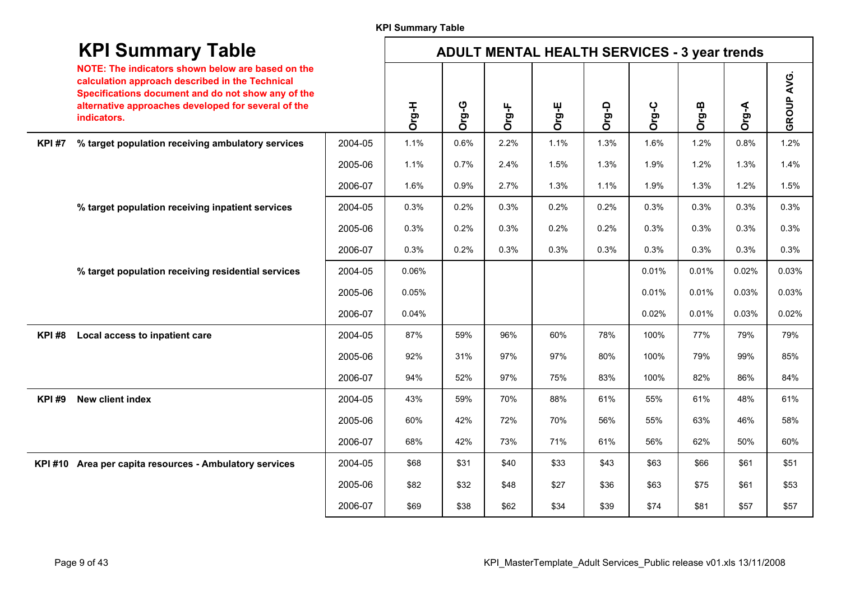#### **KPI Summary Table**

|              | <b>KPI Summary Table</b>                                                                                                                                                                                                         |         |       |       |       | <b>ADULT MENTAL HEALTH SERVICES - 3 year trends</b> |       |       |       |       |                   |
|--------------|----------------------------------------------------------------------------------------------------------------------------------------------------------------------------------------------------------------------------------|---------|-------|-------|-------|-----------------------------------------------------|-------|-------|-------|-------|-------------------|
|              | NOTE: The indicators shown below are based on the<br>calculation approach described in the Technical<br>Specifications document and do not show any of the<br>alternative approaches developed for several of the<br>indicators. |         | Org-H | Org-G | Org-F | Org-E                                               | Org-D | Org-C | Org-B | Org-A | <b>GROUP AVG.</b> |
| <b>KPI#7</b> | % target population receiving ambulatory services                                                                                                                                                                                | 2004-05 | 1.1%  | 0.6%  | 2.2%  | 1.1%                                                | 1.3%  | 1.6%  | 1.2%  | 0.8%  | 1.2%              |
|              |                                                                                                                                                                                                                                  | 2005-06 | 1.1%  | 0.7%  | 2.4%  | 1.5%                                                | 1.3%  | 1.9%  | 1.2%  | 1.3%  | 1.4%              |
|              |                                                                                                                                                                                                                                  | 2006-07 | 1.6%  | 0.9%  | 2.7%  | 1.3%                                                | 1.1%  | 1.9%  | 1.3%  | 1.2%  | 1.5%              |
|              | % target population receiving inpatient services                                                                                                                                                                                 | 2004-05 | 0.3%  | 0.2%  | 0.3%  | 0.2%                                                | 0.2%  | 0.3%  | 0.3%  | 0.3%  | 0.3%              |
|              |                                                                                                                                                                                                                                  | 2005-06 | 0.3%  | 0.2%  | 0.3%  | 0.2%                                                | 0.2%  | 0.3%  | 0.3%  | 0.3%  | 0.3%              |
|              |                                                                                                                                                                                                                                  | 2006-07 | 0.3%  | 0.2%  | 0.3%  | 0.3%                                                | 0.3%  | 0.3%  | 0.3%  | 0.3%  | 0.3%              |
|              | % target population receiving residential services                                                                                                                                                                               | 2004-05 | 0.06% |       |       |                                                     |       | 0.01% | 0.01% | 0.02% | 0.03%             |
|              |                                                                                                                                                                                                                                  | 2005-06 | 0.05% |       |       |                                                     |       | 0.01% | 0.01% | 0.03% | 0.03%             |
|              |                                                                                                                                                                                                                                  | 2006-07 | 0.04% |       |       |                                                     |       | 0.02% | 0.01% | 0.03% | 0.02%             |
| <b>KPI#8</b> | Local access to inpatient care                                                                                                                                                                                                   | 2004-05 | 87%   | 59%   | 96%   | 60%                                                 | 78%   | 100%  | 77%   | 79%   | 79%               |
|              |                                                                                                                                                                                                                                  | 2005-06 | 92%   | 31%   | 97%   | 97%                                                 | 80%   | 100%  | 79%   | 99%   | 85%               |
|              |                                                                                                                                                                                                                                  | 2006-07 | 94%   | 52%   | 97%   | 75%                                                 | 83%   | 100%  | 82%   | 86%   | 84%               |
| <b>KPI#9</b> | <b>New client index</b>                                                                                                                                                                                                          | 2004-05 | 43%   | 59%   | 70%   | 88%                                                 | 61%   | 55%   | 61%   | 48%   | 61%               |
|              |                                                                                                                                                                                                                                  | 2005-06 | 60%   | 42%   | 72%   | 70%                                                 | 56%   | 55%   | 63%   | 46%   | 58%               |
|              |                                                                                                                                                                                                                                  | 2006-07 | 68%   | 42%   | 73%   | 71%                                                 | 61%   | 56%   | 62%   | 50%   | 60%               |
|              | KPI #10 Area per capita resources - Ambulatory services                                                                                                                                                                          | 2004-05 | \$68  | \$31  | \$40  | \$33                                                | \$43  | \$63  | \$66  | \$61  | \$51              |
|              |                                                                                                                                                                                                                                  | 2005-06 | \$82  | \$32  | \$48  | \$27                                                | \$36  | \$63  | \$75  | \$61  | \$53              |
|              |                                                                                                                                                                                                                                  | 2006-07 | \$69  | \$38  | \$62  | \$34                                                | \$39  | \$74  | \$81  | \$57  | \$57              |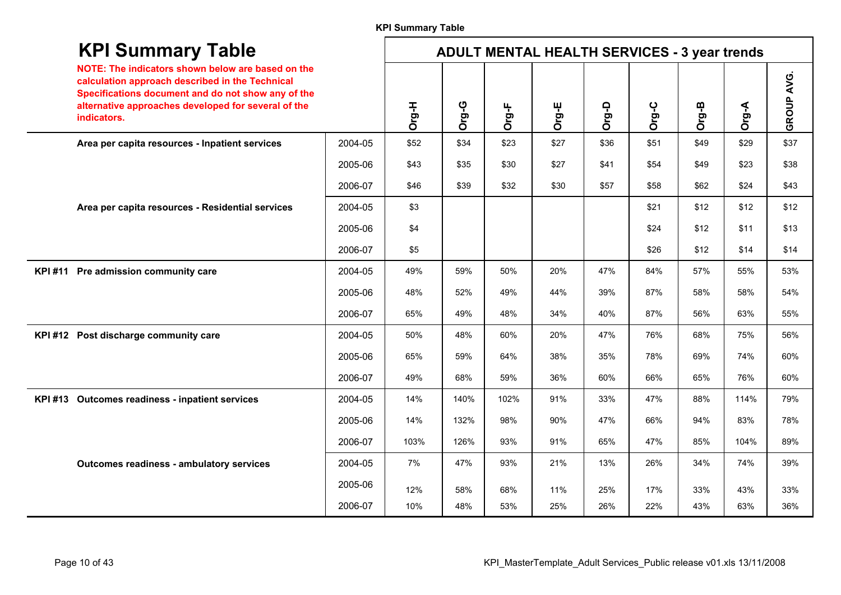#### **KPI Summary Table**

| <b>KPI Summary Table</b>                                                                                                                                                                                                         |         |       |       |       | <b>ADULT MENTAL HEALTH SERVICES - 3 year trends</b> |       |       |       |       |            |
|----------------------------------------------------------------------------------------------------------------------------------------------------------------------------------------------------------------------------------|---------|-------|-------|-------|-----------------------------------------------------|-------|-------|-------|-------|------------|
| NOTE: The indicators shown below are based on the<br>calculation approach described in the Technical<br>Specifications document and do not show any of the<br>alternative approaches developed for several of the<br>indicators. |         | Org-H | Org-G | Org-F | Org-E                                               | Org-D | Org-C | Org-B | Org-A | GROUP AVG. |
| Area per capita resources - Inpatient services                                                                                                                                                                                   | 2004-05 | \$52  | \$34  | \$23  | \$27                                                | \$36  | \$51  | \$49  | \$29  | \$37       |
|                                                                                                                                                                                                                                  | 2005-06 | \$43  | \$35  | \$30  | \$27                                                | \$41  | \$54  | \$49  | \$23  | \$38       |
|                                                                                                                                                                                                                                  | 2006-07 | \$46  | \$39  | \$32  | \$30                                                | \$57  | \$58  | \$62  | \$24  | \$43       |
| Area per capita resources - Residential services                                                                                                                                                                                 | 2004-05 | \$3   |       |       |                                                     |       | \$21  | \$12  | \$12  | \$12       |
|                                                                                                                                                                                                                                  | 2005-06 | \$4   |       |       |                                                     |       | \$24  | \$12  | \$11  | \$13       |
|                                                                                                                                                                                                                                  | 2006-07 | \$5   |       |       |                                                     |       | \$26  | \$12  | \$14  | \$14       |
| KPI#11 Pre admission community care                                                                                                                                                                                              | 2004-05 | 49%   | 59%   | 50%   | 20%                                                 | 47%   | 84%   | 57%   | 55%   | 53%        |
|                                                                                                                                                                                                                                  | 2005-06 | 48%   | 52%   | 49%   | 44%                                                 | 39%   | 87%   | 58%   | 58%   | 54%        |
|                                                                                                                                                                                                                                  | 2006-07 | 65%   | 49%   | 48%   | 34%                                                 | 40%   | 87%   | 56%   | 63%   | 55%        |
| KPI#12 Post discharge community care                                                                                                                                                                                             | 2004-05 | 50%   | 48%   | 60%   | 20%                                                 | 47%   | 76%   | 68%   | 75%   | 56%        |
|                                                                                                                                                                                                                                  | 2005-06 | 65%   | 59%   | 64%   | 38%                                                 | 35%   | 78%   | 69%   | 74%   | 60%        |
|                                                                                                                                                                                                                                  | 2006-07 | 49%   | 68%   | 59%   | 36%                                                 | 60%   | 66%   | 65%   | 76%   | 60%        |
| KPI #13 Outcomes readiness - inpatient services                                                                                                                                                                                  | 2004-05 | 14%   | 140%  | 102%  | 91%                                                 | 33%   | 47%   | 88%   | 114%  | 79%        |
|                                                                                                                                                                                                                                  | 2005-06 | 14%   | 132%  | 98%   | 90%                                                 | 47%   | 66%   | 94%   | 83%   | 78%        |
|                                                                                                                                                                                                                                  | 2006-07 | 103%  | 126%  | 93%   | 91%                                                 | 65%   | 47%   | 85%   | 104%  | 89%        |
| <b>Outcomes readiness - ambulatory services</b>                                                                                                                                                                                  | 2004-05 | 7%    | 47%   | 93%   | 21%                                                 | 13%   | 26%   | 34%   | 74%   | 39%        |
|                                                                                                                                                                                                                                  | 2005-06 | 12%   | 58%   | 68%   | 11%                                                 | 25%   | 17%   | 33%   | 43%   | 33%        |
|                                                                                                                                                                                                                                  | 2006-07 | 10%   | 48%   | 53%   | 25%                                                 | 26%   | 22%   | 43%   | 63%   | 36%        |

 $\overline{\phantom{a}}$ 

 $\sim$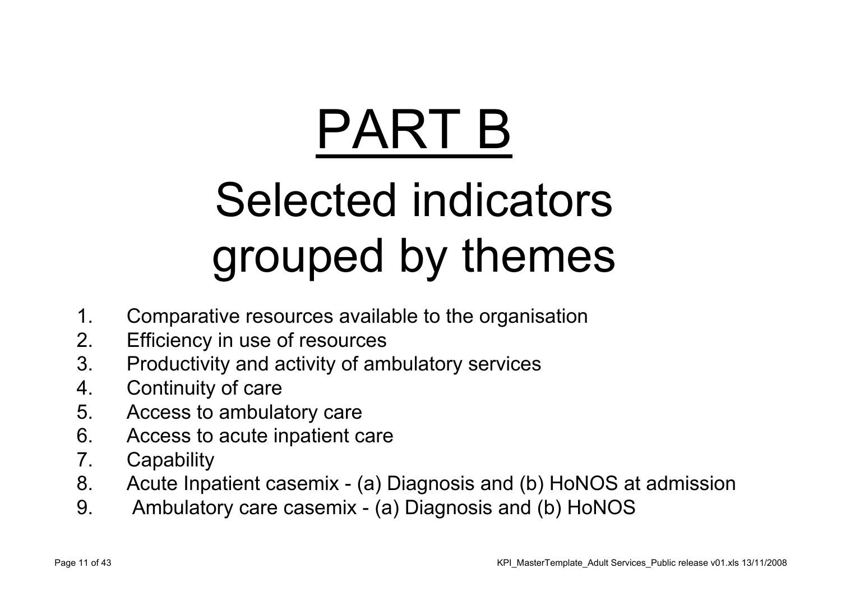# PART B

## Selected indicators grouped by themes

- 1. Comparative resources available to the organisation
- 2. Efficiency in use of resources
- 3. Productivity and activity of ambulatory services
- 4. Continuity of care
- 5. Access to ambulatory care
- 6. Access to acute inpatient care
- 7. Capability
- 8. Acute Inpatient casemix (a) Diagnosis and (b) HoNOS at admission
- 9. Ambulatory care casemix (a) Diagnosis and (b) HoNOS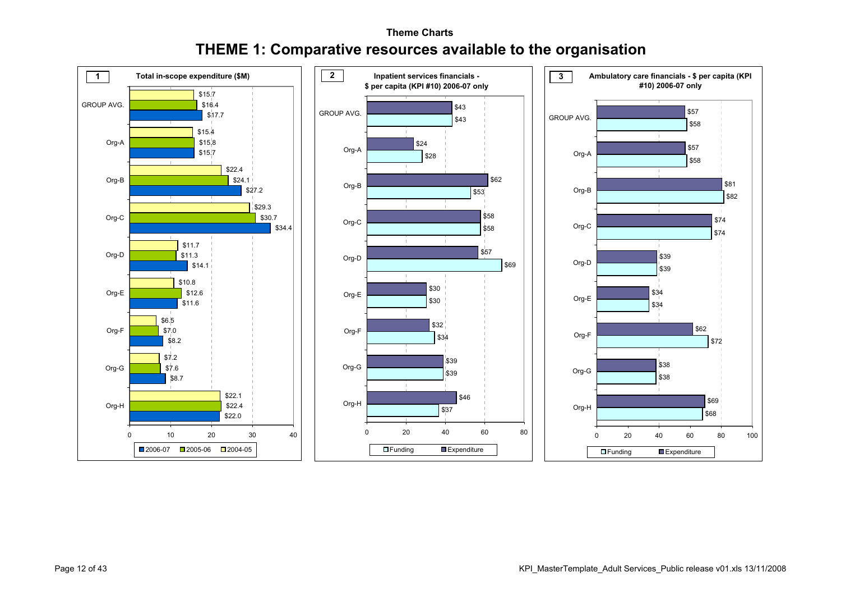#### **Theme ChartsTHEME 1: Comparative resources available to the organisation**

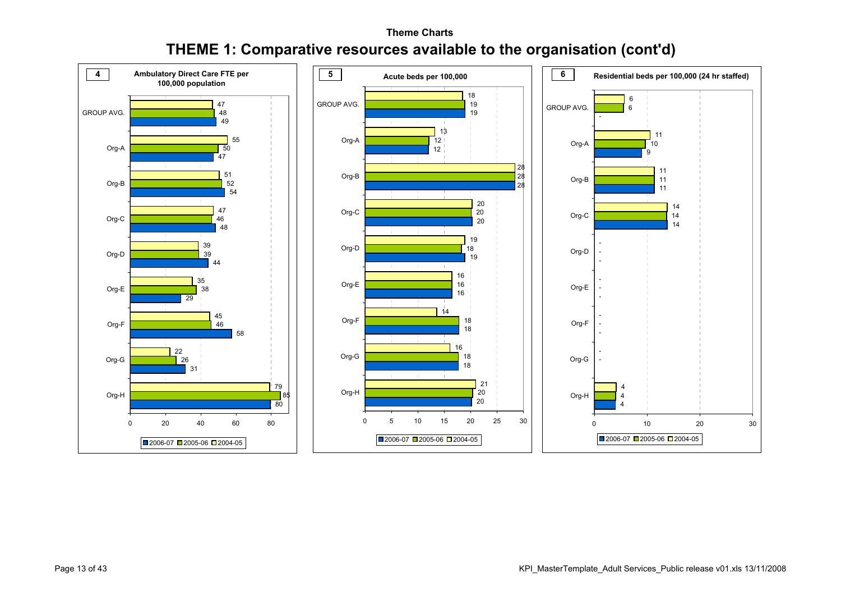#### **Theme ChartsTHEME 1: Comparative resources available to the organisation (cont'd)**

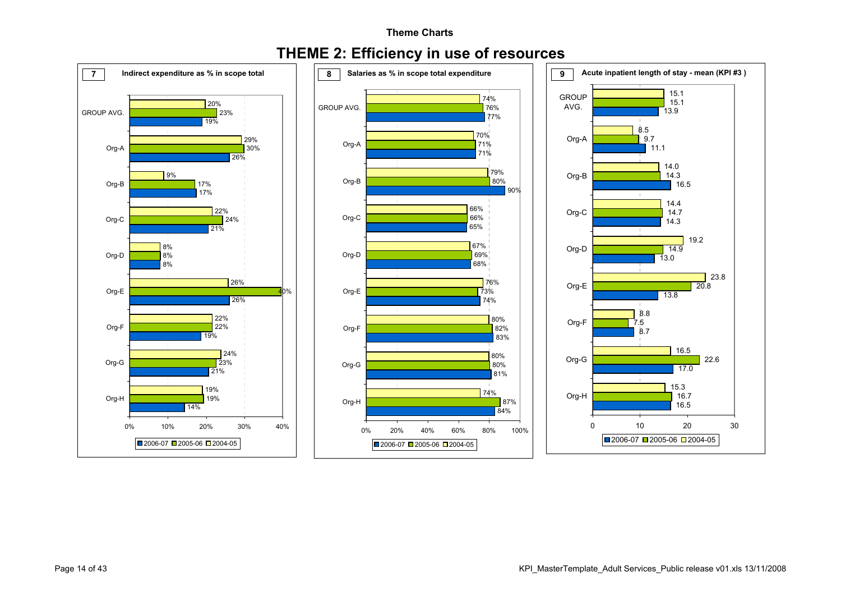#### **Theme Charts**

#### **THEME 2: Efficiency in use of resources**

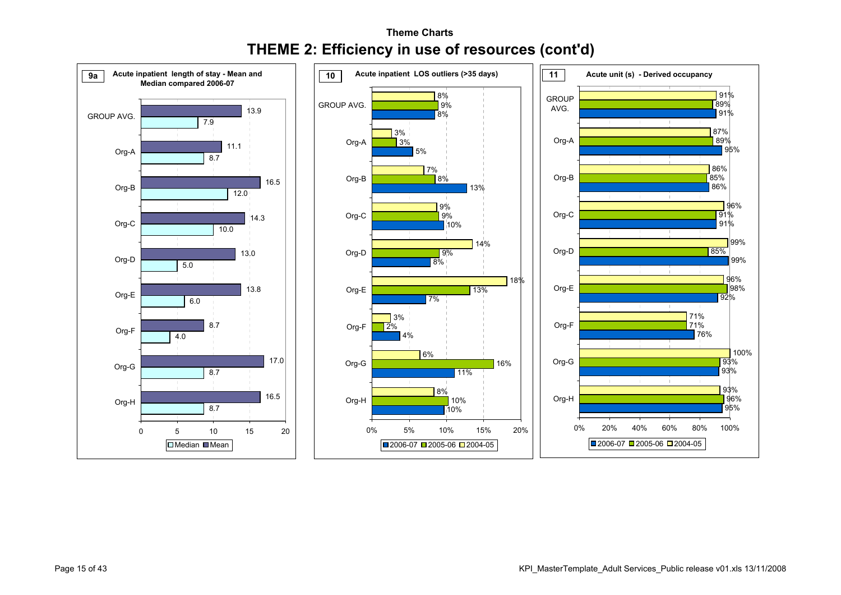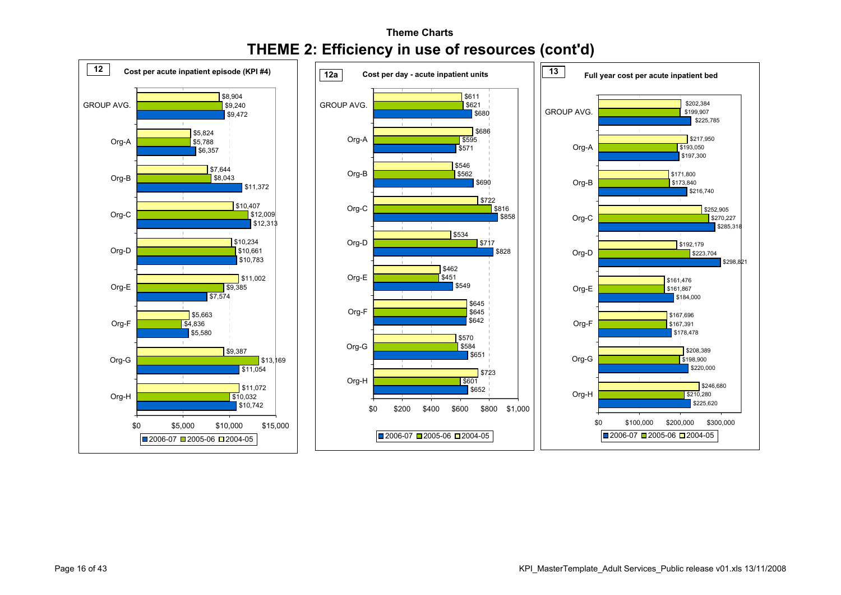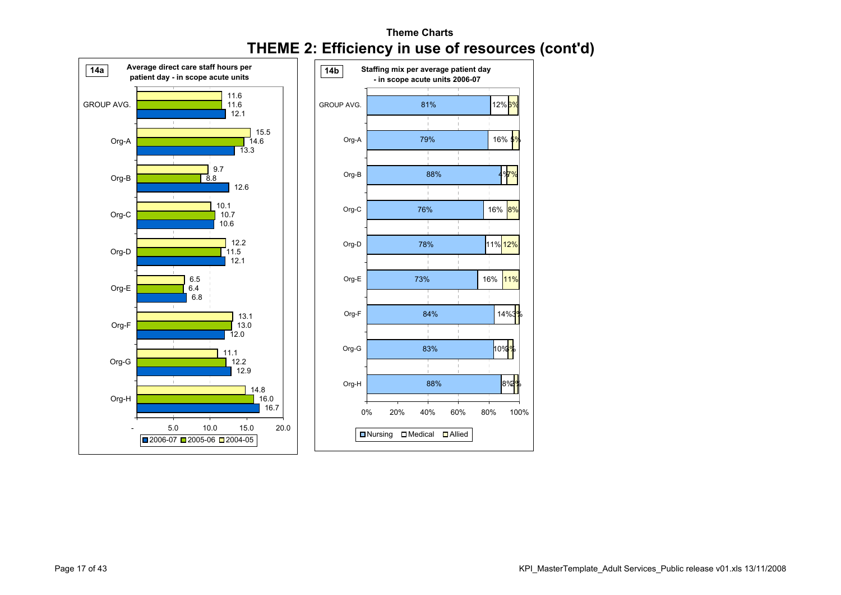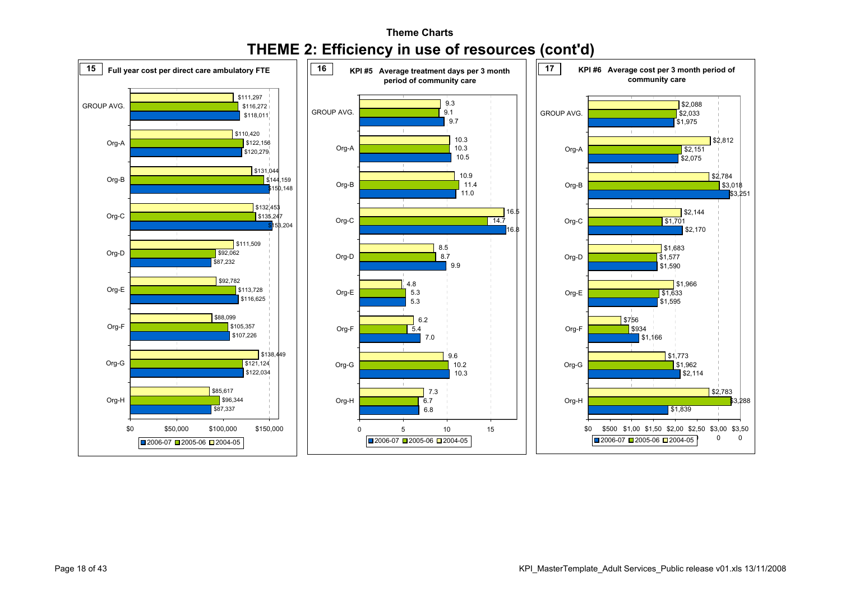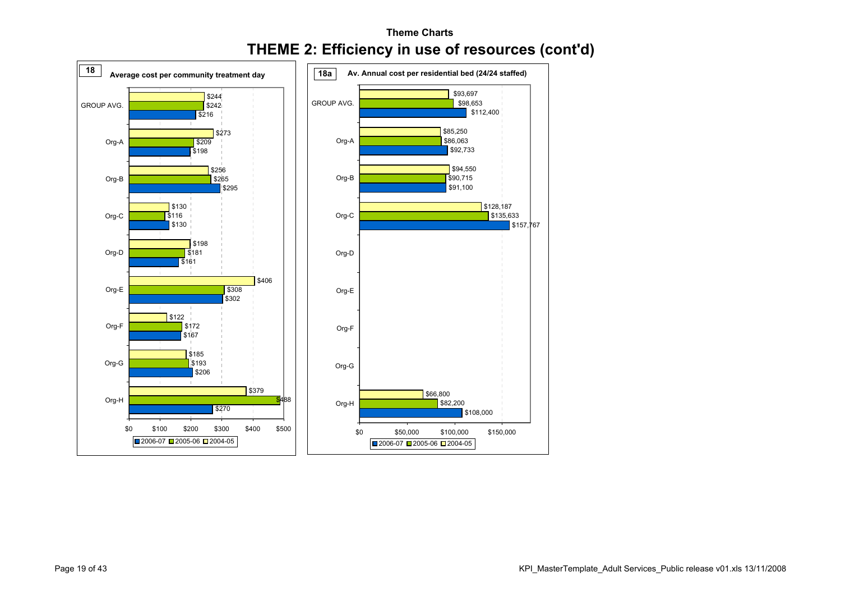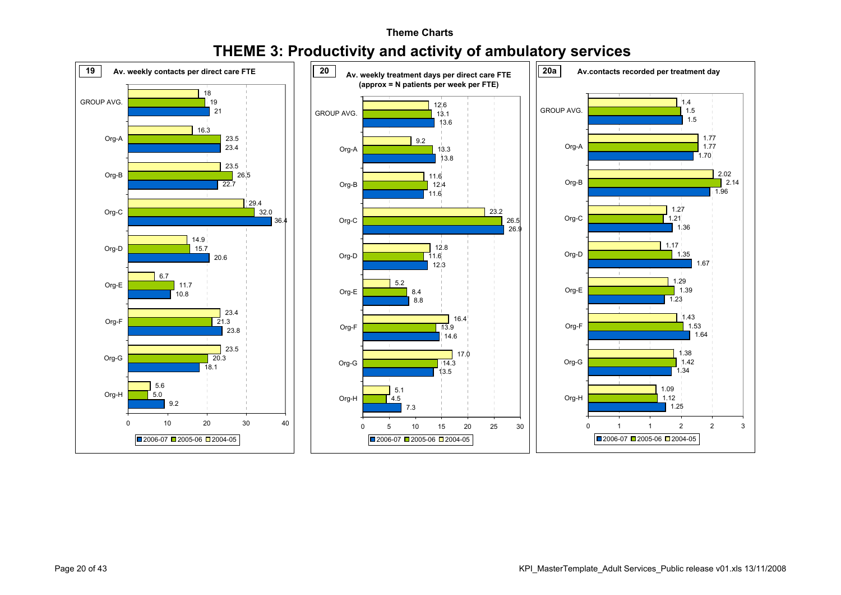

#### **Theme ChartsTHEME 3: Productivity and activity of ambulatory services**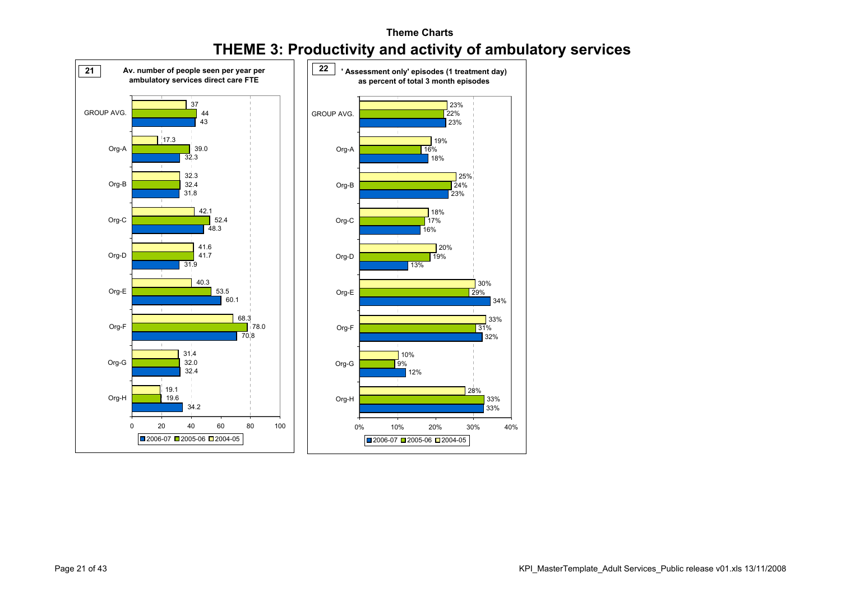

#### **Theme ChartsTHEME 3: Productivity and activity of ambulatory services**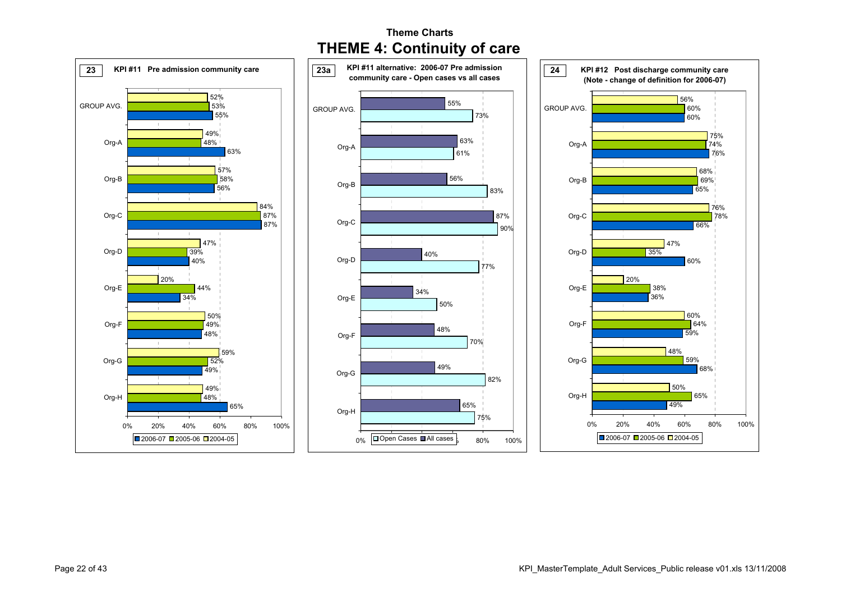

#### **Theme ChartsTHEME 4: Continuity of care**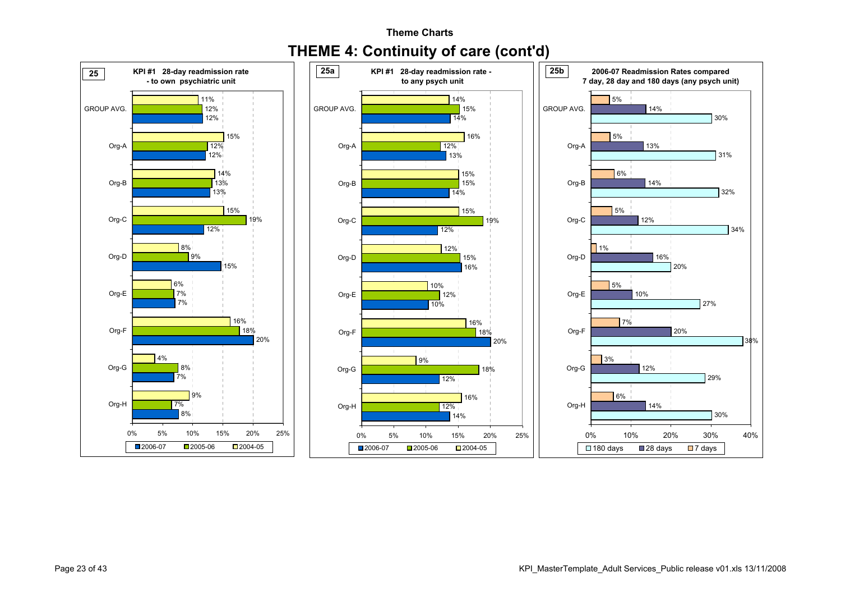

#### **Theme ChartsTHEME 4: Continuity of care (cont'd)**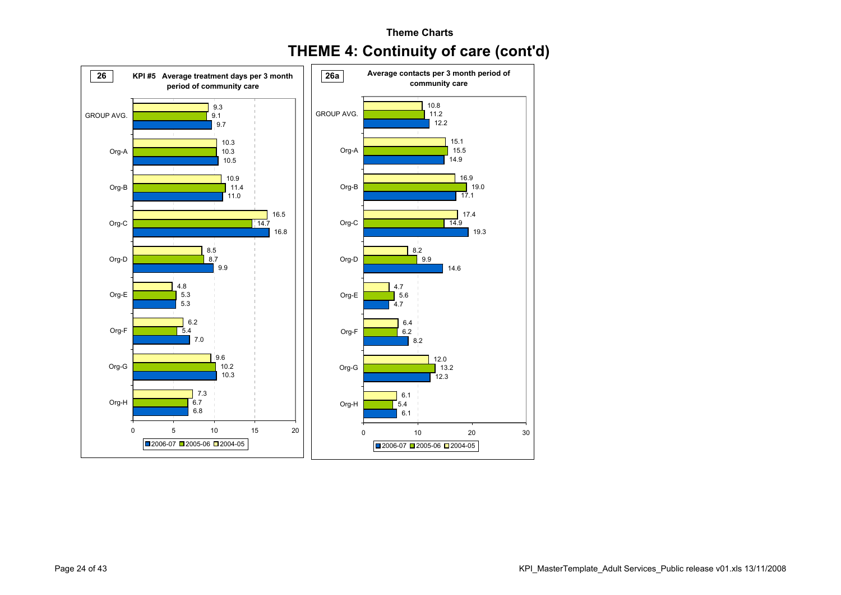

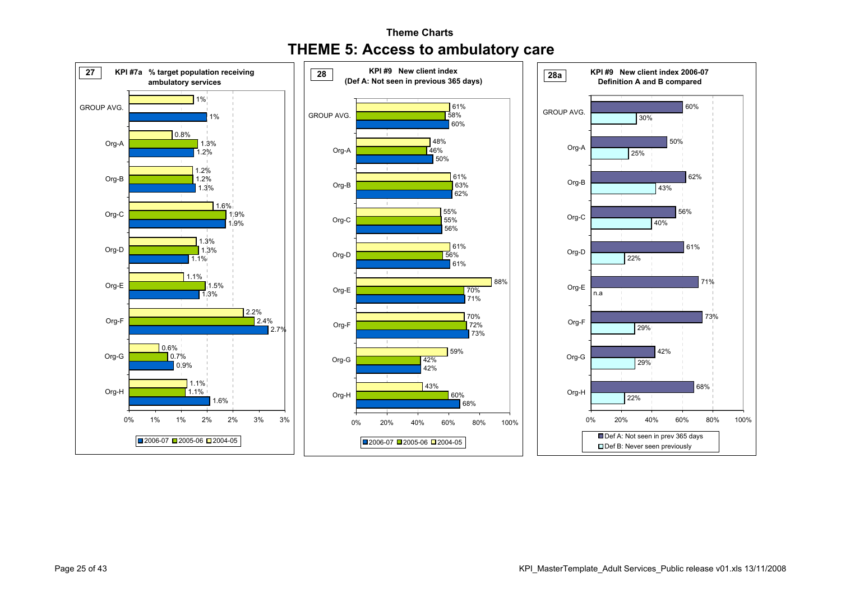

#### **Theme Charts THEME 5: Access to ambulatory care**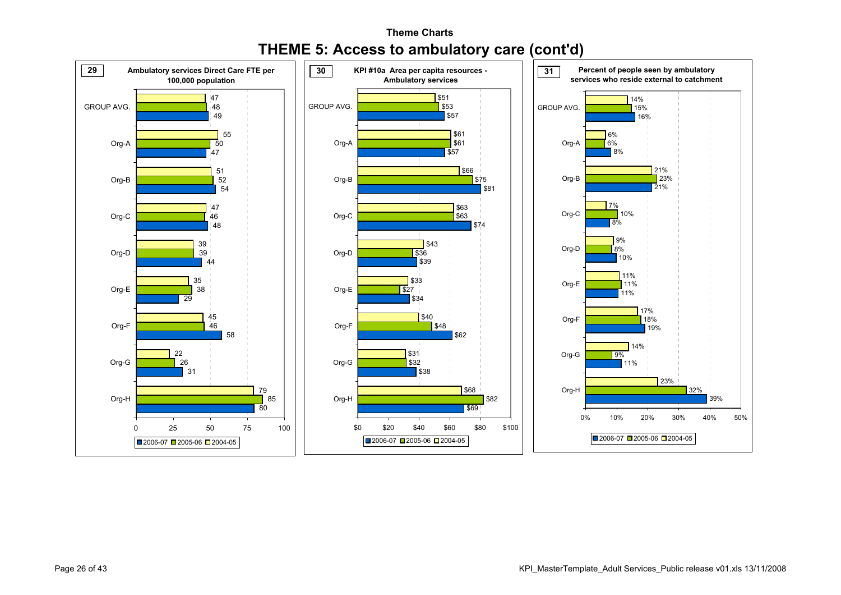

#### **Theme ChartsTHEME 5: Access to ambulatory care (cont'd)**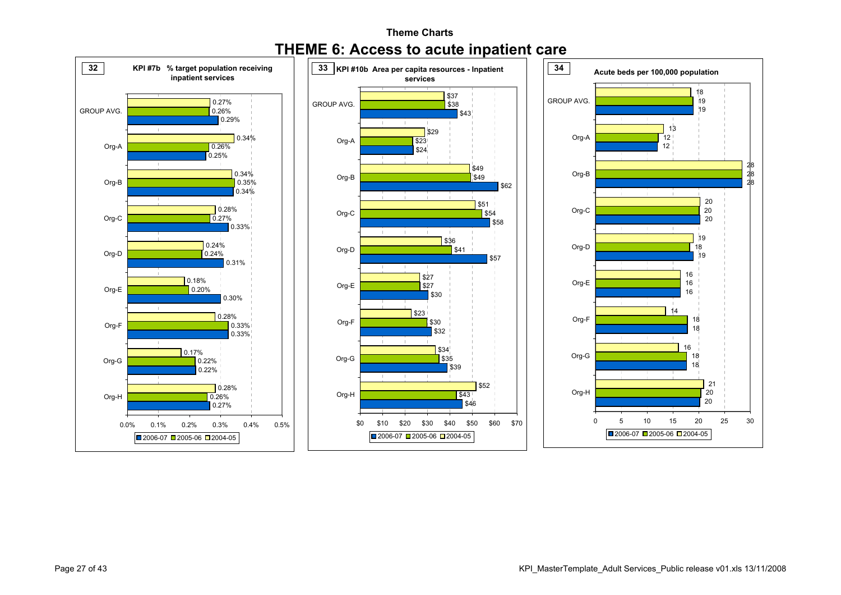

#### **Theme ChartsTHEME 6: Access to acute inpatient care**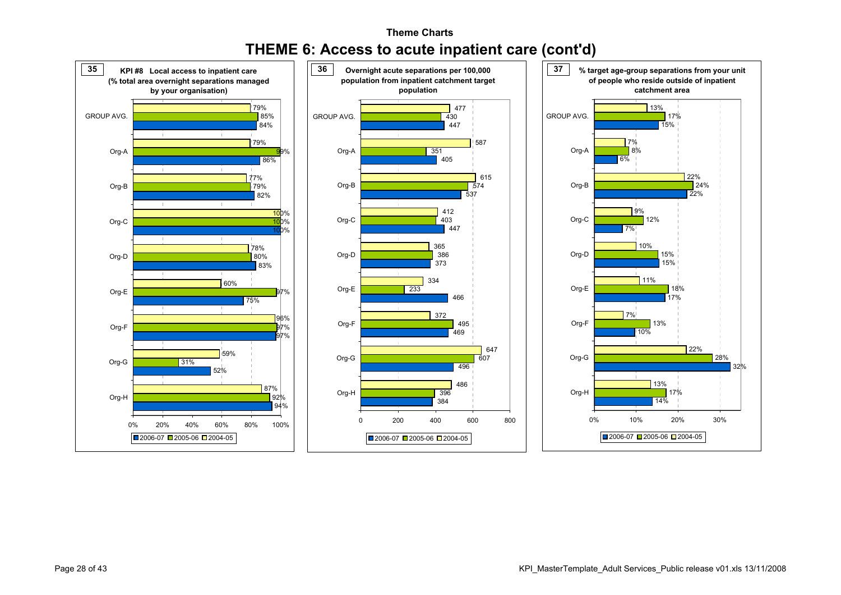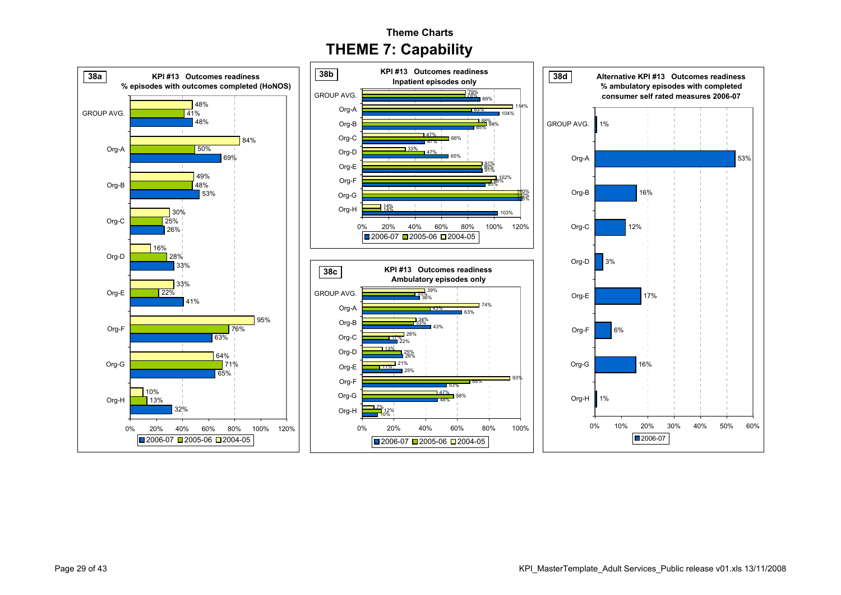**Theme ChartsTHEME 7: Capability**

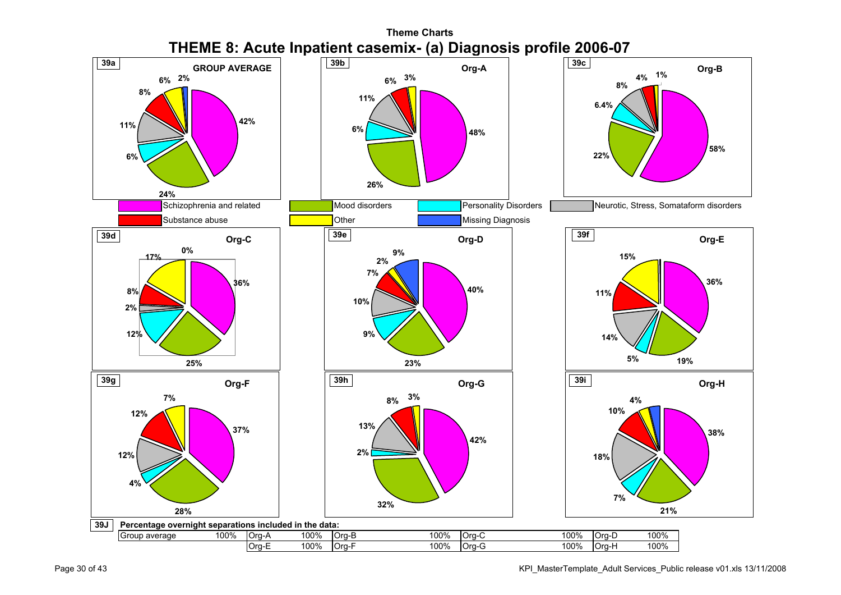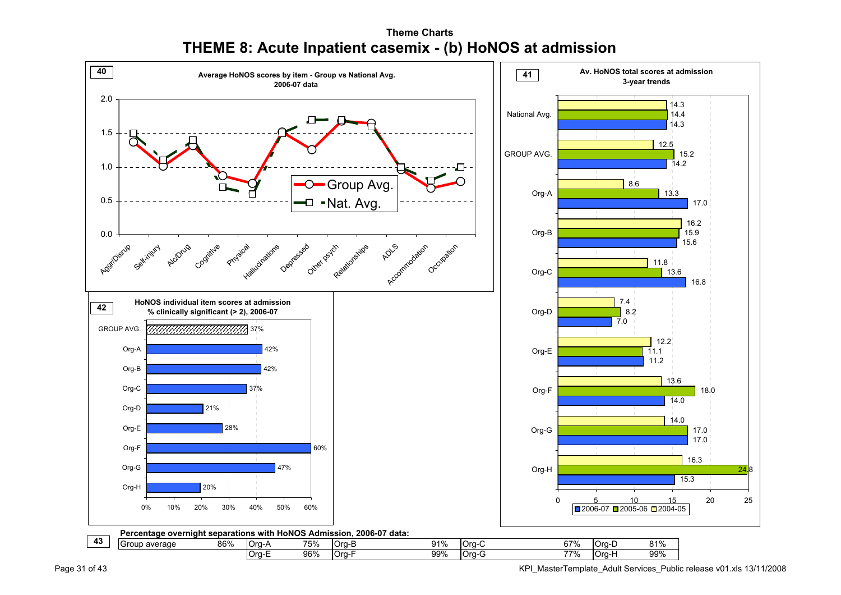**Theme ChartsTHEME 8: Acute Inpatient casemix - (b) HoNOS at admission**



Page 31 of 43 KPI\_MasterTemplate\_Adult Services\_Public release v01.xls 13/11/2008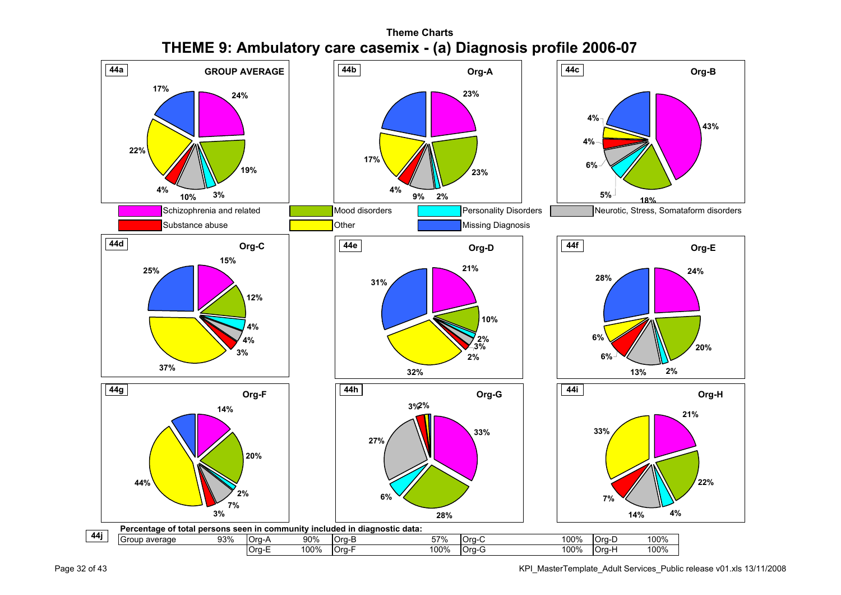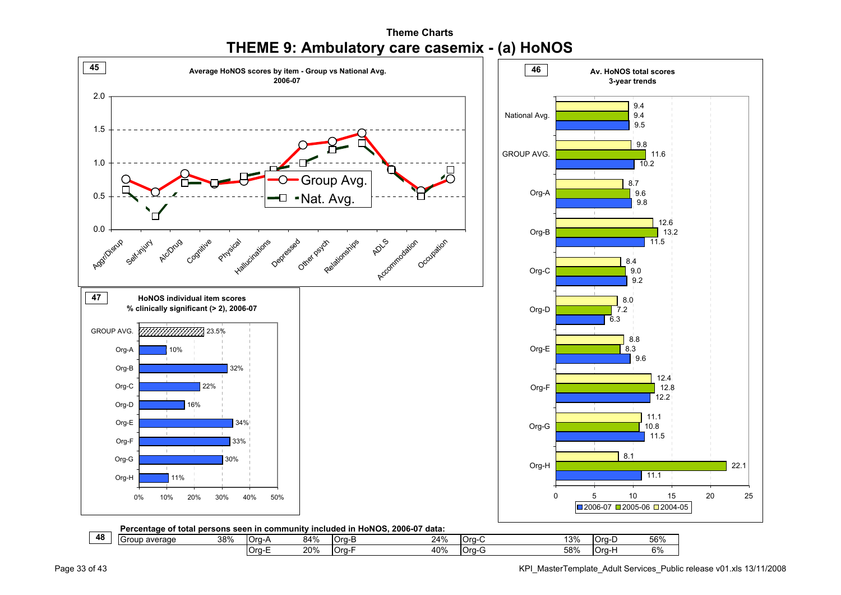

Org-E 20% Org-F 40% Org-G 58% Org-H 6%

**Theme ChartsTHEME 9: Ambulatory care casemix - (a) HoNOS**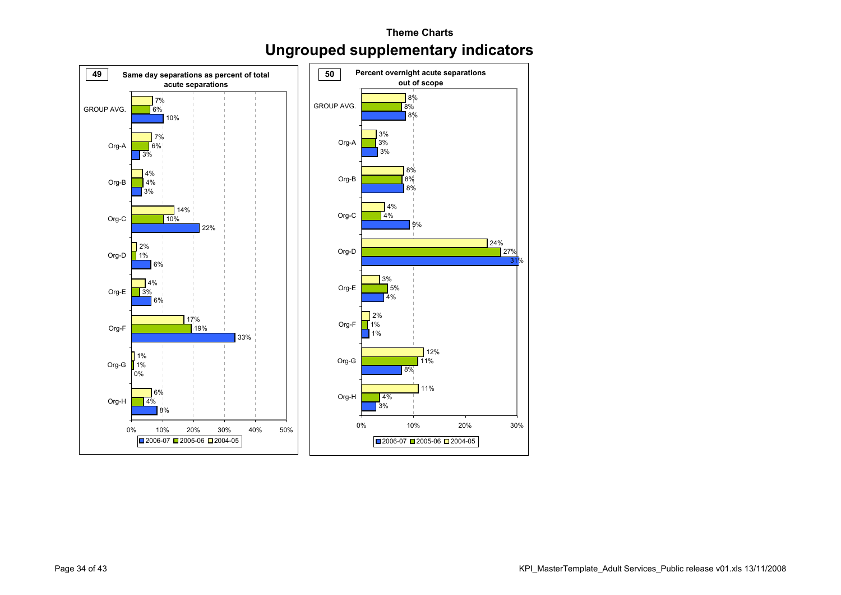#### **Theme ChartsUngrouped supplementary indicators**

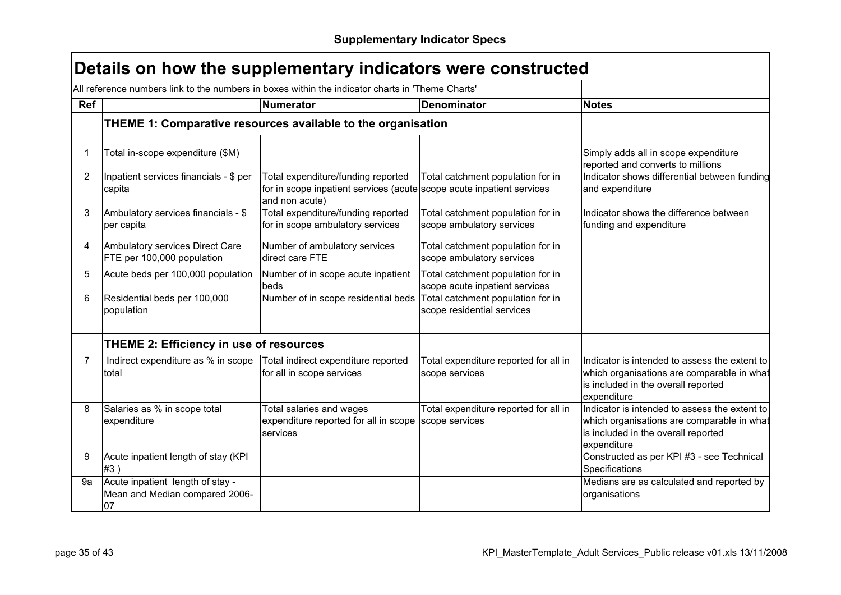|                |                                                                          | All reference numbers link to the numbers in boxes within the indicator charts in 'Theme Charts'                              |                                                                     |                                                                                                                                                   |
|----------------|--------------------------------------------------------------------------|-------------------------------------------------------------------------------------------------------------------------------|---------------------------------------------------------------------|---------------------------------------------------------------------------------------------------------------------------------------------------|
| <b>Ref</b>     |                                                                          | Numerator                                                                                                                     | <b>Denominator</b>                                                  | <b>Notes</b>                                                                                                                                      |
|                |                                                                          | THEME 1: Comparative resources available to the organisation                                                                  |                                                                     |                                                                                                                                                   |
| $\mathbf 1$    | Total in-scope expenditure (\$M)                                         |                                                                                                                               |                                                                     | Simply adds all in scope expenditure<br>reported and converts to millions                                                                         |
| $\overline{2}$ | Inpatient services financials - \$ per<br>capita                         | Total expenditure/funding reported<br>for in scope inpatient services (acute scope acute inpatient services<br>and non acute) | Total catchment population for in                                   | Indicator shows differential between funding<br>and expenditure                                                                                   |
| 3              | Ambulatory services financials - \$<br>per capita                        | Total expenditure/funding reported<br>for in scope ambulatory services                                                        | Total catchment population for in<br>scope ambulatory services      | Indicator shows the difference between<br>funding and expenditure                                                                                 |
| $\overline{4}$ | Ambulatory services Direct Care<br>FTE per 100,000 population            | Number of ambulatory services<br>direct care FTE                                                                              | Total catchment population for in<br>scope ambulatory services      |                                                                                                                                                   |
| 5              | Acute beds per 100,000 population                                        | Number of in scope acute inpatient<br>beds                                                                                    | Total catchment population for in<br>scope acute inpatient services |                                                                                                                                                   |
| 6              | Residential beds per 100,000<br>population                               | Number of in scope residential beds                                                                                           | Total catchment population for in<br>scope residential services     |                                                                                                                                                   |
|                | <b>THEME 2: Efficiency in use of resources</b>                           |                                                                                                                               |                                                                     |                                                                                                                                                   |
| $\overline{7}$ | Indirect expenditure as % in scope<br>total                              | Total indirect expenditure reported<br>for all in scope services                                                              | Total expenditure reported for all in<br>scope services             | Indicator is intended to assess the extent to<br>which organisations are comparable in what<br>is included in the overall reported<br>expenditure |
| 8              | Salaries as % in scope total<br>expenditure                              | Total salaries and wages<br>expenditure reported for all in scope<br>services                                                 | Total expenditure reported for all in<br>scope services             | Indicator is intended to assess the extent to<br>which organisations are comparable in what<br>is included in the overall reported<br>expenditure |
| 9              | Acute inpatient length of stay (KPI<br>#3)                               |                                                                                                                               |                                                                     | Constructed as per KPI #3 - see Technical<br>Specifications                                                                                       |
| 9а             | Acute inpatient length of stay -<br>Mean and Median compared 2006-<br>07 |                                                                                                                               |                                                                     | Medians are as calculated and reported by<br>organisations                                                                                        |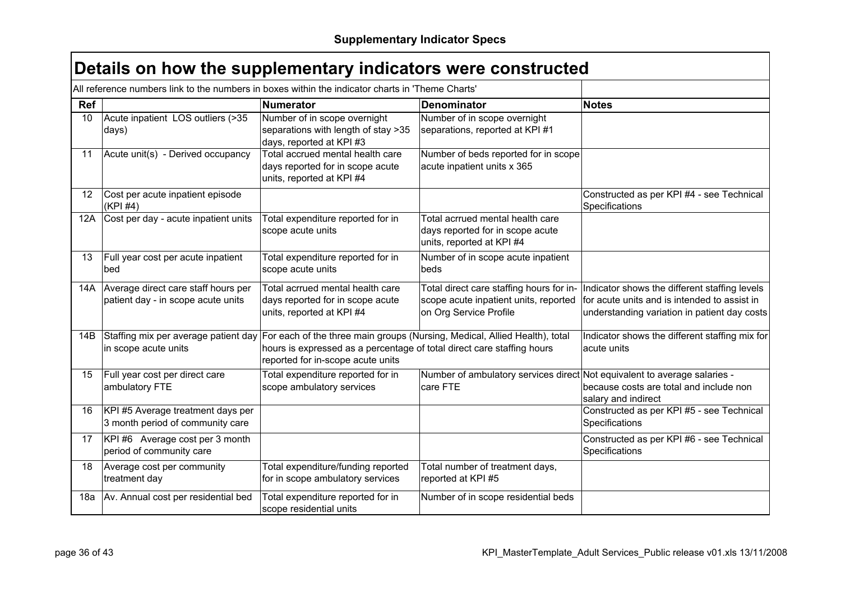|                   | All reference numbers link to the numbers in boxes within the indicator charts in 'Theme Charts' |                                                                                                                                                                                           |                                                                                                             |                                                                                                                                               |
|-------------------|--------------------------------------------------------------------------------------------------|-------------------------------------------------------------------------------------------------------------------------------------------------------------------------------------------|-------------------------------------------------------------------------------------------------------------|-----------------------------------------------------------------------------------------------------------------------------------------------|
| Ref               |                                                                                                  | <b>Numerator</b>                                                                                                                                                                          | <b>Denominator</b>                                                                                          | <b>Notes</b>                                                                                                                                  |
| 10 <sup>1</sup>   | Acute inpatient LOS outliers (>35<br>days)                                                       | Number of in scope overnight<br>separations with length of stay >35<br>days, reported at KPI #3                                                                                           | Number of in scope overnight<br>separations, reported at KPI #1                                             |                                                                                                                                               |
| 11                | Acute unit(s) - Derived occupancy                                                                | Total accrued mental health care<br>days reported for in scope acute<br>units, reported at KPI #4                                                                                         | Number of beds reported for in scope<br>acute inpatient units x 365                                         |                                                                                                                                               |
| $12 \overline{ }$ | Cost per acute inpatient episode<br>(KPI #4)                                                     |                                                                                                                                                                                           |                                                                                                             | Constructed as per KPI #4 - see Technical<br>Specifications                                                                                   |
|                   | 12A Cost per day - acute inpatient units                                                         | Total expenditure reported for in<br>scope acute units                                                                                                                                    | Total acrrued mental health care<br>days reported for in scope acute<br>units, reported at KPI #4           |                                                                                                                                               |
| 13                | Full year cost per acute inpatient<br>bed                                                        | Total expenditure reported for in<br>scope acute units                                                                                                                                    | Number of in scope acute inpatient<br>beds                                                                  |                                                                                                                                               |
|                   | 14A Average direct care staff hours per<br>patient day - in scope acute units                    | Total acrrued mental health care<br>days reported for in scope acute<br>units, reported at KPI #4                                                                                         | Total direct care staffing hours for in-<br>scope acute inpatient units, reported<br>on Org Service Profile | Indicator shows the different staffing levels<br>for acute units and is intended to assist in<br>understanding variation in patient day costs |
| 14B               | Staffing mix per average patient day<br>in scope acute units                                     | For each of the three main groups (Nursing, Medical, Allied Health), total<br>hours is expressed as a percentage of total direct care staffing hours<br>reported for in-scope acute units |                                                                                                             | Indicator shows the different staffing mix for<br>acute units                                                                                 |
| 15                | Full year cost per direct care<br>ambulatory FTE                                                 | Total expenditure reported for in<br>scope ambulatory services                                                                                                                            | Number of ambulatory services direct Not equivalent to average salaries -<br>care FTE                       | because costs are total and include non<br>salary and indirect                                                                                |
| 16                | KPI #5 Average treatment days per<br>3 month period of community care                            |                                                                                                                                                                                           |                                                                                                             | Constructed as per KPI #5 - see Technical<br>Specifications                                                                                   |
| 17                | KPI #6 Average cost per 3 month<br>period of community care                                      |                                                                                                                                                                                           |                                                                                                             | Constructed as per KPI #6 - see Technical<br>Specifications                                                                                   |
| 18                | Average cost per community<br>treatment day                                                      | Total expenditure/funding reported<br>for in scope ambulatory services                                                                                                                    | Total number of treatment days,<br>reported at KPI #5                                                       |                                                                                                                                               |
| 18a               | Av. Annual cost per residential bed                                                              | Total expenditure reported for in<br>scope residential units                                                                                                                              | Number of in scope residential beds                                                                         |                                                                                                                                               |

 $\Gamma$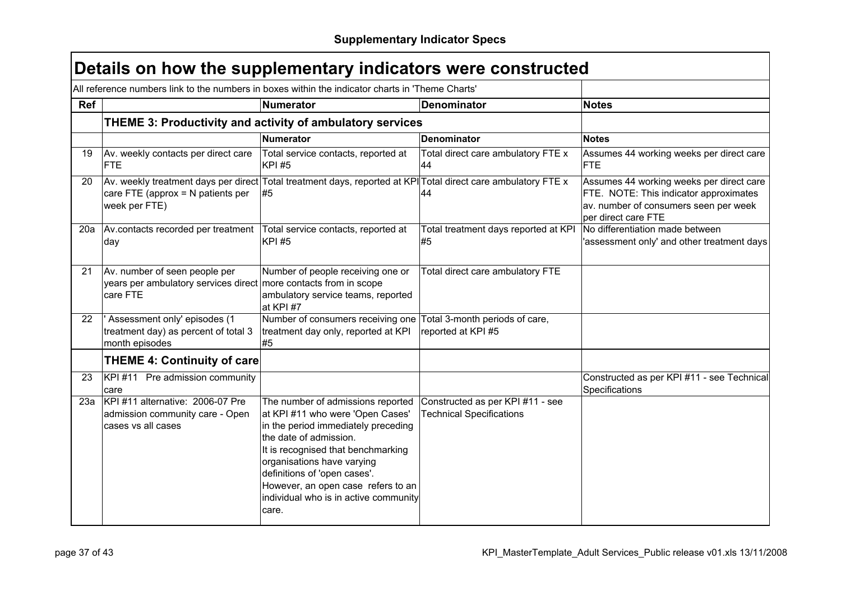|            | All reference numbers link to the numbers in boxes within the indicator charts in 'Theme Charts'                                                                      |                                                                                                                                                                                                                                                                                                                                    |                                                                     |                                                                                                                                                    |
|------------|-----------------------------------------------------------------------------------------------------------------------------------------------------------------------|------------------------------------------------------------------------------------------------------------------------------------------------------------------------------------------------------------------------------------------------------------------------------------------------------------------------------------|---------------------------------------------------------------------|----------------------------------------------------------------------------------------------------------------------------------------------------|
| <b>Ref</b> |                                                                                                                                                                       | Numerator                                                                                                                                                                                                                                                                                                                          | <b>Denominator</b>                                                  | <b>Notes</b>                                                                                                                                       |
|            | THEME 3: Productivity and activity of ambulatory services                                                                                                             |                                                                                                                                                                                                                                                                                                                                    |                                                                     |                                                                                                                                                    |
|            |                                                                                                                                                                       | <b>Numerator</b>                                                                                                                                                                                                                                                                                                                   | <b>Denominator</b>                                                  | <b>Notes</b>                                                                                                                                       |
| 19         | Av. weekly contacts per direct care<br><b>FTE</b>                                                                                                                     | Total service contacts, reported at<br><b>KPI#5</b>                                                                                                                                                                                                                                                                                | Total direct care ambulatory FTE x<br>44                            | Assumes 44 working weeks per direct care<br><b>FTE</b>                                                                                             |
| 20         | Av. weekly treatment days per direct Total treatment days, reported at KPI Total direct care ambulatory FTE x<br>care FTE (approx $= N$ patients per<br>week per FTE) | l#5                                                                                                                                                                                                                                                                                                                                | 44                                                                  | Assumes 44 working weeks per direct care<br>FTE. NOTE: This indicator approximates<br>av. number of consumers seen per week<br>per direct care FTE |
| 20a        | Av.contacts recorded per treatment<br>day                                                                                                                             | Total service contacts, reported at<br><b>KPI#5</b>                                                                                                                                                                                                                                                                                | Total treatment days reported at KPI<br>#5                          | No differentiation made between<br>'assessment only' and other treatment days                                                                      |
| 21         | Av. number of seen people per<br>years per ambulatory services direct more contacts from in scope<br>care FTE                                                         | Number of people receiving one or<br>ambulatory service teams, reported<br>at KPI #7                                                                                                                                                                                                                                               | Total direct care ambulatory FTE                                    |                                                                                                                                                    |
| 22         | Assessment only' episodes (1<br>treatment day) as percent of total 3<br>month episodes                                                                                | Number of consumers receiving one Total 3-month periods of care,<br>treatment day only, reported at KPI<br>#5                                                                                                                                                                                                                      | reported at KPI #5                                                  |                                                                                                                                                    |
|            | <b>THEME 4: Continuity of care</b>                                                                                                                                    |                                                                                                                                                                                                                                                                                                                                    |                                                                     |                                                                                                                                                    |
| 23         | KPI #11 Pre admission community<br>care                                                                                                                               |                                                                                                                                                                                                                                                                                                                                    |                                                                     | Constructed as per KPI #11 - see Technical<br>Specifications                                                                                       |
| 23a        | KPI #11 alternative: 2006-07 Pre<br>admission community care - Open<br>cases vs all cases                                                                             | The number of admissions reported<br>at KPI #11 who were 'Open Cases'<br>in the period immediately preceding<br>the date of admission.<br>It is recognised that benchmarking<br>organisations have varying<br>definitions of 'open cases'.<br>However, an open case refers to an<br>individual who is in active community<br>care. | Constructed as per KPI #11 - see<br><b>Technical Specifications</b> |                                                                                                                                                    |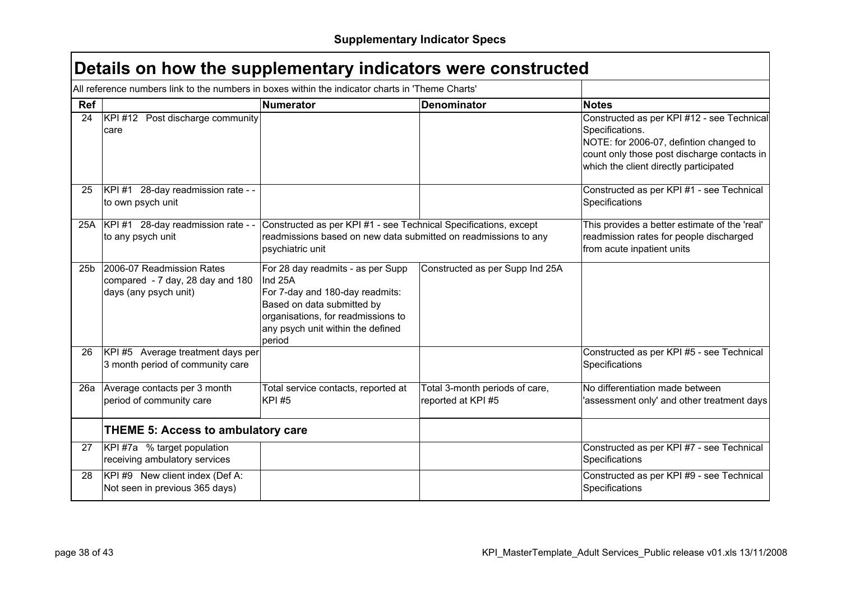|                 | Details on how the supplementary indicators were constructed                                     |                                                                                                                                                                                                    |                                                      |                                                                                                                                                                                                   |
|-----------------|--------------------------------------------------------------------------------------------------|----------------------------------------------------------------------------------------------------------------------------------------------------------------------------------------------------|------------------------------------------------------|---------------------------------------------------------------------------------------------------------------------------------------------------------------------------------------------------|
|                 | All reference numbers link to the numbers in boxes within the indicator charts in 'Theme Charts' |                                                                                                                                                                                                    |                                                      |                                                                                                                                                                                                   |
| <b>Ref</b>      |                                                                                                  | <b>Numerator</b>                                                                                                                                                                                   | <b>Denominator</b>                                   | <b>Notes</b>                                                                                                                                                                                      |
| 24              | KPI #12 Post discharge community<br>care                                                         |                                                                                                                                                                                                    |                                                      | Constructed as per KPI #12 - see Technical<br>Specifications.<br>NOTE: for 2006-07, defintion changed to<br>count only those post discharge contacts in<br>which the client directly participated |
| 25              | KPI #1 28-day readmission rate - -<br>to own psych unit                                          |                                                                                                                                                                                                    |                                                      | Constructed as per KPI #1 - see Technical<br>Specifications                                                                                                                                       |
|                 | 25A KPI #1 28-day readmission rate - -<br>to any psych unit                                      | Constructed as per KPI #1 - see Technical Specifications, except<br>readmissions based on new data submitted on readmissions to any<br>psychiatric unit                                            |                                                      | This provides a better estimate of the 'real'<br>readmission rates for people discharged<br>from acute inpatient units                                                                            |
| 25 <sub>b</sub> | 2006-07 Readmission Rates<br>compared - 7 day, 28 day and 180<br>days (any psych unit)           | For 28 day readmits - as per Supp<br>Ind 25A<br>For 7-day and 180-day readmits:<br>Based on data submitted by<br>organisations, for readmissions to<br>any psych unit within the defined<br>period | Constructed as per Supp Ind 25A                      |                                                                                                                                                                                                   |
| 26              | KPI #5 Average treatment days per<br>3 month period of community care                            |                                                                                                                                                                                                    |                                                      | Constructed as per KPI #5 - see Technical<br>Specifications                                                                                                                                       |
|                 | 26a Average contacts per 3 month<br>period of community care                                     | Total service contacts, reported at<br><b>KPI#5</b>                                                                                                                                                | Total 3-month periods of care,<br>reported at KPI #5 | No differentiation made between<br>assessment only' and other treatment days                                                                                                                      |
|                 | <b>THEME 5: Access to ambulatory care</b>                                                        |                                                                                                                                                                                                    |                                                      |                                                                                                                                                                                                   |
| 27              | KPI#7a % target population<br>receiving ambulatory services                                      |                                                                                                                                                                                                    |                                                      | Constructed as per KPI #7 - see Technical<br>Specifications                                                                                                                                       |
| 28              | KPI #9 New client index (Def A:<br>Not seen in previous 365 days)                                |                                                                                                                                                                                                    |                                                      | Constructed as per KPI #9 - see Technical<br>Specifications                                                                                                                                       |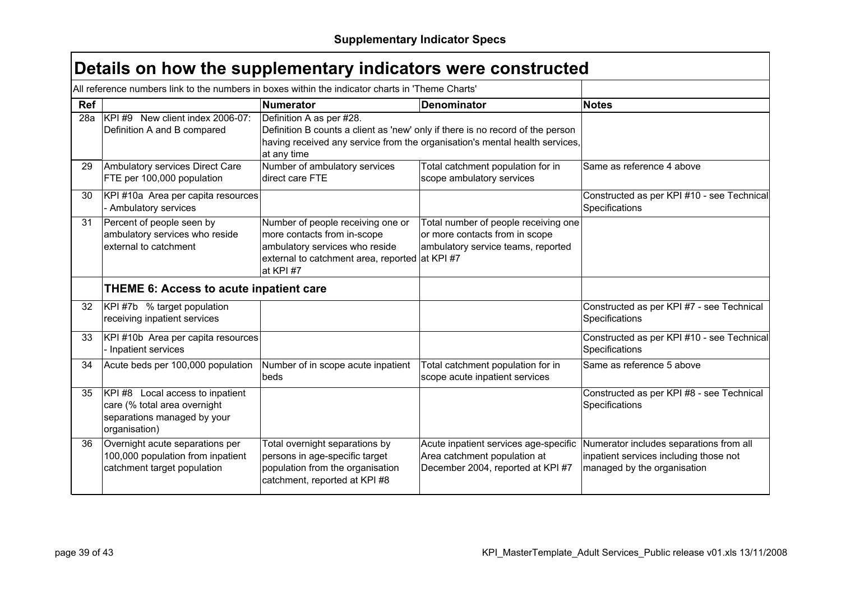| Details on how the supplementary indicators were constructed |  |  |  |  |  |
|--------------------------------------------------------------|--|--|--|--|--|
|--------------------------------------------------------------|--|--|--|--|--|

|     | All reference numbers link to the numbers in boxes within the indicator charts in 'Theme Charts'                 |                                                                                                                                                                   |                                                                                                                                                               |                                                                                                                  |
|-----|------------------------------------------------------------------------------------------------------------------|-------------------------------------------------------------------------------------------------------------------------------------------------------------------|---------------------------------------------------------------------------------------------------------------------------------------------------------------|------------------------------------------------------------------------------------------------------------------|
| Ref |                                                                                                                  | <b>Numerator</b>                                                                                                                                                  | <b>Denominator</b>                                                                                                                                            | <b>Notes</b>                                                                                                     |
| 28a | KPI #9 New client index 2006-07:<br>Definition A and B compared                                                  | Definition A as per #28.<br>at any time                                                                                                                           | Definition B counts a client as 'new' only if there is no record of the person<br>having received any service from the organisation's mental health services, |                                                                                                                  |
| 29  | Ambulatory services Direct Care<br>FTE per 100,000 population                                                    | Number of ambulatory services<br>direct care FTE                                                                                                                  | Total catchment population for in<br>scope ambulatory services                                                                                                | Same as reference 4 above                                                                                        |
| 30  | KPI #10a Area per capita resources<br>- Ambulatory services                                                      |                                                                                                                                                                   |                                                                                                                                                               | Constructed as per KPI #10 - see Technical<br>Specifications                                                     |
| 31  | Percent of people seen by<br>ambulatory services who reside<br>external to catchment                             | Number of people receiving one or<br>more contacts from in-scope<br>ambulatory services who reside<br>external to catchment area, reported at KPI #7<br>at KPI #7 | Total number of people receiving one<br>or more contacts from in scope<br>ambulatory service teams, reported                                                  |                                                                                                                  |
|     | <b>THEME 6: Access to acute inpatient care</b>                                                                   |                                                                                                                                                                   |                                                                                                                                                               |                                                                                                                  |
| 32  | KPI #7b % target population<br>receiving inpatient services                                                      |                                                                                                                                                                   |                                                                                                                                                               | Constructed as per KPI #7 - see Technical<br>Specifications                                                      |
| 33  | KPI #10b Area per capita resources<br>- Inpatient services                                                       |                                                                                                                                                                   |                                                                                                                                                               | Constructed as per KPI #10 - see Technical<br>Specifications                                                     |
| 34  | Acute beds per 100,000 population                                                                                | Number of in scope acute inpatient<br>beds                                                                                                                        | Total catchment population for in<br>scope acute inpatient services                                                                                           | Same as reference 5 above                                                                                        |
| 35  | KPI #8 Local access to inpatient<br>care (% total area overnight<br>separations managed by your<br>organisation) |                                                                                                                                                                   |                                                                                                                                                               | Constructed as per KPI #8 - see Technical<br>Specifications                                                      |
| 36  | Overnight acute separations per<br>100,000 population from inpatient<br>catchment target population              | Total overnight separations by<br>persons in age-specific target<br>population from the organisation<br>catchment, reported at KPI #8                             | Acute inpatient services age-specific<br>Area catchment population at<br>December 2004, reported at KPI #7                                                    | Numerator includes separations from all<br>inpatient services including those not<br>managed by the organisation |

 $\Gamma$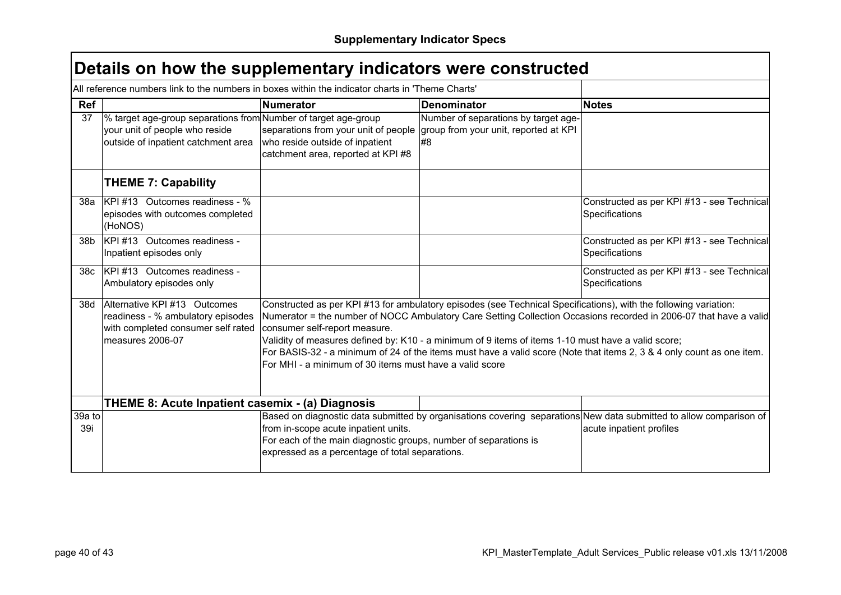|                 | All reference numbers link to the numbers in boxes within the indicator charts in 'Theme Charts'                                        |                                                                                                                                                             |                                                                                                                                                                                                                        |                                                                                                                                                                                                                                            |
|-----------------|-----------------------------------------------------------------------------------------------------------------------------------------|-------------------------------------------------------------------------------------------------------------------------------------------------------------|------------------------------------------------------------------------------------------------------------------------------------------------------------------------------------------------------------------------|--------------------------------------------------------------------------------------------------------------------------------------------------------------------------------------------------------------------------------------------|
| Ref             |                                                                                                                                         | <b>Numerator</b>                                                                                                                                            | <b>Denominator</b>                                                                                                                                                                                                     | <b>Notes</b>                                                                                                                                                                                                                               |
| 37              | % target age-group separations from Number of target age-group<br>your unit of people who reside<br>outside of inpatient catchment area | separations from your unit of people<br>who reside outside of inpatient<br>catchment area, reported at KPI #8                                               | Number of separations by target age-<br>group from your unit, reported at KPI<br>#8                                                                                                                                    |                                                                                                                                                                                                                                            |
|                 | <b>THEME 7: Capability</b>                                                                                                              |                                                                                                                                                             |                                                                                                                                                                                                                        |                                                                                                                                                                                                                                            |
| 38а             | $ KPI \#13$ Outcomes readiness - %<br>episodes with outcomes completed<br>(HoNOS)                                                       |                                                                                                                                                             |                                                                                                                                                                                                                        | Constructed as per KPI #13 - see Technical<br>Specifications                                                                                                                                                                               |
| 38b             | KPI#13 Outcomes readiness -<br>Inpatient episodes only                                                                                  |                                                                                                                                                             |                                                                                                                                                                                                                        | Constructed as per KPI #13 - see Technical<br>Specifications                                                                                                                                                                               |
| 38 <sub>c</sub> | KPI#13 Outcomes readiness -<br>Ambulatory episodes only                                                                                 |                                                                                                                                                             |                                                                                                                                                                                                                        | Constructed as per KPI #13 - see Technical<br>Specifications                                                                                                                                                                               |
| 38d             | Alternative KPI #13 Outcomes<br>readiness - % ambulatory episodes<br>with completed consumer self rated<br>measures 2006-07             | consumer self-report measure.<br>For MHI - a minimum of 30 items must have a valid score                                                                    | Constructed as per KPI #13 for ambulatory episodes (see Technical Specifications), with the following variation:<br>Validity of measures defined by: K10 - a minimum of 9 items of items 1-10 must have a valid score; | Numerator = the number of NOCC Ambulatory Care Setting Collection Occasions recorded in 2006-07 that have a valid<br>For BASIS-32 - a minimum of 24 of the items must have a valid score (Note that items 2, 3 & 4 only count as one item. |
|                 | THEME 8: Acute Inpatient casemix - (a) Diagnosis                                                                                        |                                                                                                                                                             |                                                                                                                                                                                                                        |                                                                                                                                                                                                                                            |
| 39a to<br>39i   |                                                                                                                                         | from in-scope acute inpatient units.<br>For each of the main diagnostic groups, number of separations is<br>expressed as a percentage of total separations. |                                                                                                                                                                                                                        | Based on diagnostic data submitted by organisations covering separations New data submitted to allow comparison of<br>acute inpatient profiles                                                                                             |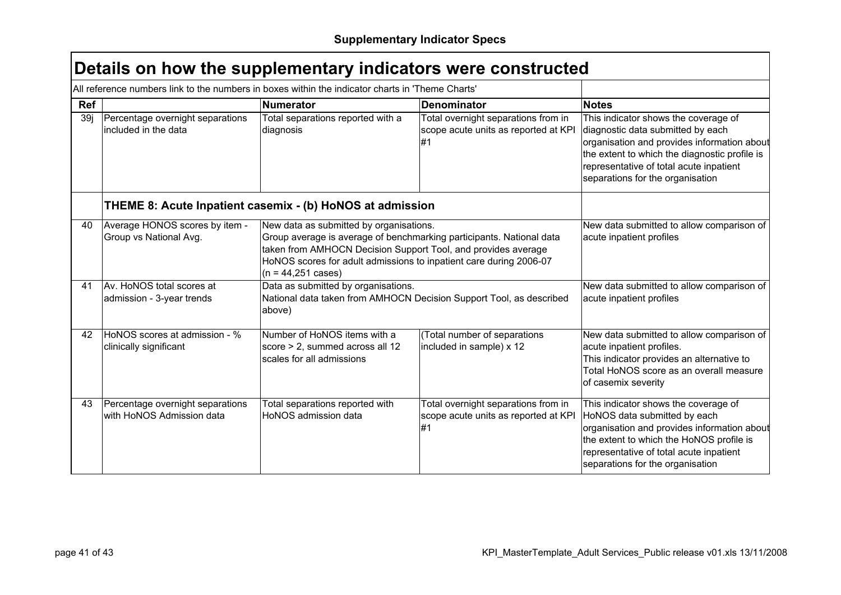|     | All reference numbers link to the numbers in boxes within the indicator charts in 'Theme Charts' |                                                                                                                                                                                                                                                                                        |                                                                                   |                                                                                                                                                                                                                                                          |  |  |  |  |
|-----|--------------------------------------------------------------------------------------------------|----------------------------------------------------------------------------------------------------------------------------------------------------------------------------------------------------------------------------------------------------------------------------------------|-----------------------------------------------------------------------------------|----------------------------------------------------------------------------------------------------------------------------------------------------------------------------------------------------------------------------------------------------------|--|--|--|--|
| Ref |                                                                                                  | <b>Numerator</b>                                                                                                                                                                                                                                                                       | <b>Denominator</b>                                                                | <b>Notes</b>                                                                                                                                                                                                                                             |  |  |  |  |
| 39j | Percentage overnight separations<br>included in the data                                         | Total separations reported with a<br>diagnosis                                                                                                                                                                                                                                         | Total overnight separations from in<br>scope acute units as reported at KPI<br>#1 | This indicator shows the coverage of<br>diagnostic data submitted by each<br>organisation and provides information about<br>the extent to which the diagnostic profile is<br>representative of total acute inpatient<br>separations for the organisation |  |  |  |  |
|     | THEME 8: Acute Inpatient casemix - (b) HoNOS at admission                                        |                                                                                                                                                                                                                                                                                        |                                                                                   |                                                                                                                                                                                                                                                          |  |  |  |  |
| 40  | Average HONOS scores by item -<br>Group vs National Avg.                                         | New data as submitted by organisations.<br>Group average is average of benchmarking participants. National data<br>taken from AMHOCN Decision Support Tool, and provides average<br>HoNOS scores for adult admissions to inpatient care during 2006-07<br>$(n = 44,251 \text{ cases})$ |                                                                                   | New data submitted to allow comparison of<br>acute inpatient profiles                                                                                                                                                                                    |  |  |  |  |
| 41  | Av. HoNOS total scores at<br>admission - 3-year trends                                           | Data as submitted by organisations.<br>National data taken from AMHOCN Decision Support Tool, as described<br>above)                                                                                                                                                                   |                                                                                   | New data submitted to allow comparison of<br>acute inpatient profiles                                                                                                                                                                                    |  |  |  |  |
| 42  | HoNOS scores at admission - %<br>clinically significant                                          | Number of HoNOS items with a<br>score > 2, summed across all 12<br>scales for all admissions                                                                                                                                                                                           | (Total number of separations<br>included in sample) x 12                          | New data submitted to allow comparison of<br>acute inpatient profiles.<br>This indicator provides an alternative to<br>Total HoNOS score as an overall measure<br>of casemix severity                                                                    |  |  |  |  |
| 43  | Percentage overnight separations<br>with HoNOS Admission data                                    | Total separations reported with<br>HoNOS admission data                                                                                                                                                                                                                                | Total overnight separations from in<br>scope acute units as reported at KPI<br>#1 | This indicator shows the coverage of<br>HoNOS data submitted by each<br>organisation and provides information about<br>the extent to which the HoNOS profile is<br>representative of total acute inpatient<br>separations for the organisation           |  |  |  |  |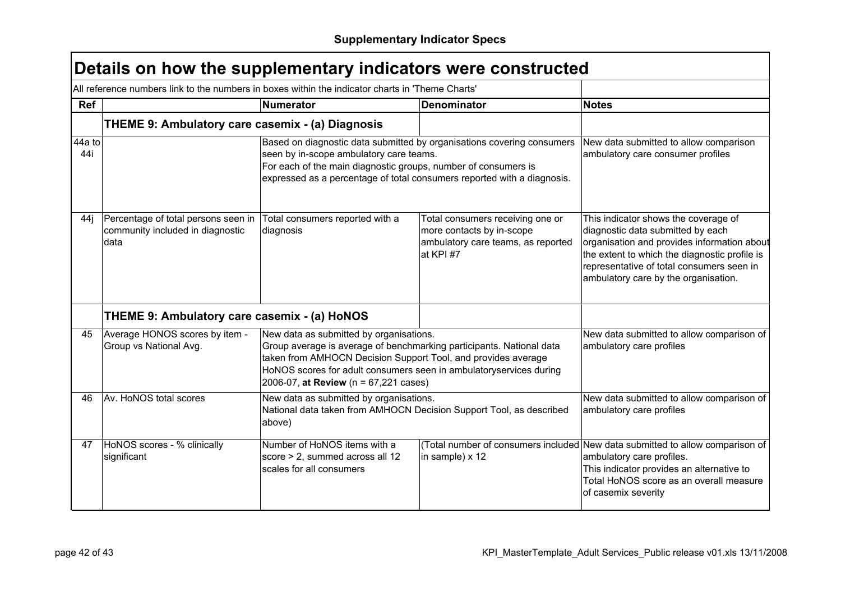|               | All reference numbers link to the numbers in boxes within the indicator charts in 'Theme Charts' |                                                                                                                                                                                                                                                                                                 |                                                                                                                  |                                                                                                                                                                                                                                                                |
|---------------|--------------------------------------------------------------------------------------------------|-------------------------------------------------------------------------------------------------------------------------------------------------------------------------------------------------------------------------------------------------------------------------------------------------|------------------------------------------------------------------------------------------------------------------|----------------------------------------------------------------------------------------------------------------------------------------------------------------------------------------------------------------------------------------------------------------|
| <b>Ref</b>    |                                                                                                  | <b>Numerator</b>                                                                                                                                                                                                                                                                                | <b>Denominator</b>                                                                                               | <b>Notes</b>                                                                                                                                                                                                                                                   |
|               | THEME 9: Ambulatory care casemix - (a) Diagnosis                                                 |                                                                                                                                                                                                                                                                                                 |                                                                                                                  |                                                                                                                                                                                                                                                                |
| 44a to<br>44i |                                                                                                  | Based on diagnostic data submitted by organisations covering consumers<br>seen by in-scope ambulatory care teams.<br>For each of the main diagnostic groups, number of consumers is<br>expressed as a percentage of total consumers reported with a diagnosis.                                  |                                                                                                                  | New data submitted to allow comparison<br>ambulatory care consumer profiles                                                                                                                                                                                    |
| 44i           | Percentage of total persons seen in<br>community included in diagnostic<br>data                  | Total consumers reported with a<br>diagnosis                                                                                                                                                                                                                                                    | Total consumers receiving one or<br>more contacts by in-scope<br>ambulatory care teams, as reported<br>at KPI #7 | This indicator shows the coverage of<br>diagnostic data submitted by each<br>organisation and provides information about<br>the extent to which the diagnostic profile is<br>representative of total consumers seen in<br>ambulatory care by the organisation. |
|               | THEME 9: Ambulatory care casemix - (a) HoNOS                                                     |                                                                                                                                                                                                                                                                                                 |                                                                                                                  |                                                                                                                                                                                                                                                                |
| 45            | Average HONOS scores by item -<br>Group vs National Avg.                                         | New data as submitted by organisations.<br>Group average is average of benchmarking participants. National data<br>taken from AMHOCN Decision Support Tool, and provides average<br>HoNOS scores for adult consumers seen in ambulatoryservices during<br>2006-07, at Review (n = 67,221 cases) |                                                                                                                  | New data submitted to allow comparison of<br>ambulatory care profiles                                                                                                                                                                                          |
| 46            | Av. HoNOS total scores                                                                           | New data as submitted by organisations.<br>National data taken from AMHOCN Decision Support Tool, as described<br>above)                                                                                                                                                                        |                                                                                                                  | New data submitted to allow comparison of<br>ambulatory care profiles                                                                                                                                                                                          |
| 47            | HoNOS scores - % clinically<br>significant                                                       | Number of HoNOS items with a<br>score > 2, summed across all 12<br>scales for all consumers                                                                                                                                                                                                     | in sample) x 12                                                                                                  | (Total number of consumers included New data submitted to allow comparison of<br>ambulatory care profiles.<br>This indicator provides an alternative to<br>Total HoNOS score as an overall measure<br>of casemix severity                                      |